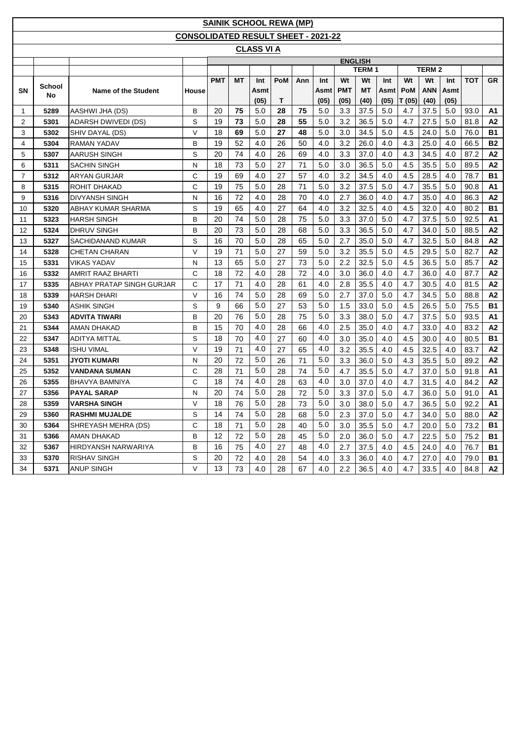|                |        |                            |                                            |            |           | <b>SAINIK SCHOOL REWA (MP)</b> |     |     |      |            |                |      |        |               |      |            |                |
|----------------|--------|----------------------------|--------------------------------------------|------------|-----------|--------------------------------|-----|-----|------|------------|----------------|------|--------|---------------|------|------------|----------------|
|                |        |                            | <b>CONSOLIDATED RESULT SHEET - 2021-22</b> |            |           |                                |     |     |      |            |                |      |        |               |      |            |                |
|                |        |                            |                                            |            |           | <b>CLASS VI A</b>              |     |     |      |            |                |      |        |               |      |            |                |
|                |        |                            |                                            |            |           |                                |     |     |      |            | <b>ENGLISH</b> |      |        |               |      |            |                |
|                |        |                            |                                            |            |           |                                |     |     |      |            | <b>TERM 1</b>  |      |        | <b>TERM 2</b> |      |            |                |
|                | School |                            |                                            | <b>PMT</b> | <b>MT</b> | Int                            | PoM | Ann | Int  | Wt         | Wt             | Int  | Wt     | Wt            | Int  | <b>TOT</b> | GR             |
| SN             | No     | <b>Name of the Student</b> | House                                      |            |           | Asmt                           |     |     | Asmt | <b>PMT</b> | МT             | Asmt | PoM    | <b>ANN</b>    | Asmt |            |                |
|                |        |                            |                                            |            |           | (05)                           | Τ   |     | (05) | (05)       | (40)           | (05) | T (05) | (40)          | (05) |            |                |
| 1              | 5289   | AASHWI JHA (DS)            | В                                          | 20         | 75        | 5.0                            | 28  | 75  | 5.0  | 3.3        | 37.5           | 5.0  | 4.7    | 37.5          | 5.0  | 93.0       | Α1             |
| $\overline{2}$ | 5301   | <b>ADARSH DWIVEDI (DS)</b> | S                                          | 19         | 73        | 5.0                            | 28  | 55  | 5.0  | 3.2        | 36.5           | 5.0  | 4.7    | 27.5          | 5.0  | 81.8       | A2             |
| 3              | 5302   | SHIV DAYAL (DS)            | $\vee$                                     | 18         | 69        | 5.0                            | 27  | 48  | 5.0  | 3.0        | 34.5           | 5.0  | 4.5    | 24.0          | 5.0  | 76.0       | <b>B1</b>      |
| 4              | 5304   | <b>RAMAN YADAV</b>         | В                                          | 19         | 52        | 4.0                            | 26  | 50  | 4.0  | 3.2        | 26.0           | 4.0  | 4.3    | 25.0          | 4.0  | 66.5       | <b>B2</b>      |
| 5              | 5307   | AARUSH SINGH               | S                                          | 20         | 74        | 4.0                            | 26  | 69  | 4.0  | 3.3        | 37.0           | 4.0  | 4.3    | 34.5          | 4.0  | 87.2       | A2             |
| 6              | 5311   | <b>SACHIN SINGH</b>        | N                                          | 18         | 73        | 5.0                            | 27  | 71  | 5.0  | 3.0        | 36.5           | 5.0  | 4.5    | 35.5          | 5.0  | 89.5       | A <sub>2</sub> |
| $\overline{7}$ | 5312   | <b>ARYAN GURJAR</b>        | C                                          | 19         | 69        | 4.0                            | 27  | 57  | 4.0  | 3.2        | 34.5           | 4.0  | 4.5    | 28.5          | 4.0  | 78.7       | <b>B1</b>      |
| 8              | 5315   | ROHIT DHAKAD               | C                                          | 19         | 75        | 5.0                            | 28  | 71  | 5.0  | 3.2        | 37.5           | 5.0  | 4.7    | 35.5          | 5.0  | 90.8       | A1             |
| 9              | 5316   | <b>DIVYANSH SINGH</b>      | N                                          | 16         | 72        | 4.0                            | 28  | 70  | 4.0  | 2.7        | 36.0           | 4.0  | 4.7    | 35.0          | 4.0  | 86.3       | A2             |
| 10             | 5320   | ABHAY KUMAR SHARMA         | S                                          | 19         | 65        | 4.0                            | 27  | 64  | 4.0  | 3.2        | 32.5           | 4.0  | 4.5    | 32.0          | 4.0  | 80.2       | <b>B1</b>      |
| 11             | 5323   | <b>HARSH SINGH</b>         | в                                          | 20         | 74        | 5.0                            | 28  | 75  | 5.0  | 3.3        | 37.0           | 5.0  | 4.7    | 37.5          | 5.0  | 92.5       | A1             |
| 12             | 5324   | <b>DHRUV SINGH</b>         | В                                          | 20         | 73        | 5.0                            | 28  | 68  | 5.0  | 3.3        | 36.5           | 5.0  | 4.7    | 34.0          | 5.0  | 88.5       | A2             |
| 13             | 5327   | SACHIDANAND KUMAR          | S                                          | 16         | 70        | 5.0                            | 28  | 65  | 5.0  | 2.7        | 35.0           | 5.0  | 4.7    | 32.5          | 5.0  | 84.8       | A2             |
| 14             | 5328   | <b>CHETAN CHARAN</b>       | $\vee$                                     | 19         | 71        | 5.0                            | 27  | 59  | 5.0  | 3.2        | 35.5           | 5.0  | 4.5    | 29.5          | 5.0  | 82.7       | A2             |
| 15             | 5331   | <b>VIKAS YADAV</b>         | N                                          | 13         | 65        | 5.0                            | 27  | 73  | 5.0  | 2.2        | 32.5           | 5.0  | 4.5    | 36.5          | 5.0  | 85.7       | A2             |
| 16             | 5332   | AMRIT RAAZ BHARTI          | C                                          | 18         | 72        | 4.0                            | 28  | 72  | 4.0  | 3.0        | 36.0           | 4.0  | 4.7    | 36.0          | 4.0  | 87.7       | A2             |
| 17             | 5335   | ABHAY PRATAP SINGH GURJAR  | C                                          | 17         | 71        | 4.0                            | 28  | 61  | 4.0  | 2.8        | 35.5           | 4.0  | 4.7    | 30.5          | 4.0  | 81.5       | A2             |
| 18             | 5339   | <b>HARSH DHARI</b>         | $\vee$                                     | 16         | 74        | 5.0                            | 28  | 69  | 5.0  | 2.7        | 37.0           | 5.0  | 4.7    | 34.5          | 5.0  | 88.8       | A2             |
| 19             | 5340   | <b>ASHIK SINGH</b>         | S                                          | 9          | 66        | 5.0                            | 27  | 53  | 5.0  | 1.5        | 33.0           | 5.0  | 4.5    | 26.5          | 5.0  | 75.5       | <b>B1</b>      |
| 20             | 5343   | <b>ADVITA TIWARI</b>       | В                                          | 20         | 76        | 5.0                            | 28  | 75  | 5.0  | 3.3        | 38.0           | 5.0  | 4.7    | 37.5          | 5.0  | 93.5       | Α1             |
| 21             | 5344   | AMAN DHAKAD                | В                                          | 15         | 70        | 4.0                            | 28  | 66  | 4.0  | 2.5        | 35.0           | 4.0  | 4.7    | 33.0          | 4.0  | 83.2       | A2             |
| 22             | 5347   | <b>ADITYA MITTAL</b>       | S                                          | 18         | 70        | 4.0                            | 27  | 60  | 4.0  | 3.0        | 35.0           | 4.0  | 4.5    | 30.0          | 4.0  | 80.5       | <b>B1</b>      |
| 23             | 5348   | ISHU VIMAL                 | $\vee$                                     | 19         | 71        | 4.0                            | 27  | 65  | 4.0  | 3.2        | 35.5           | 4.0  | 4.5    | 32.5          | 4.0  | 83.7       | A2             |
| 24             | 5351   | JYOTI KUMARI               | N                                          | 20         | 72        | 5.0                            | 26  | 71  | 5.0  | 3.3        | 36.0           | 5.0  | 4.3    | 35.5          | 5.0  | 89.2       | A2             |
| 25             | 5352   | VANDANA SUMAN              | C                                          | 28         | 71        | 5.0                            | 28  | 74  | 5.0  | 4.7        | 35.5           | 5.0  | 4.7    | 37.0          | 5.0  | 91.8       | A1             |
| 26             | 5355   | <b>BHAVYA BAMNIYA</b>      | C                                          | 18         | 74        | 4.0                            | 28  | 63  | 4.0  | 3.0        | 37.0           | 4.0  | 4.7    | 31.5          | 4.0  | 84.2       | A2             |
| 27             | 5356   | <b>PAYAL SARAP</b>         | N                                          | 20         | 74        | 5.0                            | 28  | 72  | 5.0  | 3.3        | 37.0           | 5.0  | 4.7    | 36.0          | 5.0  | 91.0       | A1             |
| 28             | 5359   | <b>VARSHA SINGH</b>        | $\vee$                                     | 18         | 76        | 5.0                            | 28  | 73  | 5.0  | 3.0        | 38.0           | 5.0  | 4.7    | 36.5          | 5.0  | 92.2       | Α1             |
| 29             | 5360   | <b>RASHMI MUJALDE</b>      | S                                          | 14         | 74        | 5.0                            | 28  | 68  | 5.0  | 2.3        | 37.0           | 5.0  | 4.7    | 34.0          | 5.0  | 88.0       | A2             |
| 30             | 5364   | SHREYASH MEHRA (DS)        | C                                          | 18         | 71        | 5.0                            | 28  | 40  | 5.0  | 3.0        | 35.5           | 5.0  | 4.7    | 20.0          | 5.0  | 73.2       | <b>B1</b>      |
| 31             | 5366   | AMAN DHAKAD                | в                                          | 12         | 72        | 5.0                            | 28  | 45  | 5.0  | 2.0        | 36.0           | 5.0  | 4.7    | 22.5          | 5.0  | 75.2       | <b>B1</b>      |
| 32             | 5367   | HIRDYANSH NARWARIYA        | В                                          | 16         | 75        | 4.0                            | 27  | 48  | 4.0  | 2.7        | 37.5           | 4.0  | 4.5    | 24.0          | 4.0  | 76.7       | B1             |
| 33             | 5370   | RISHAV SINGH               | S                                          | 20         | 72        | 4.0                            | 28  | 54  | 4.0  | 3.3        | 36.0           | 4.0  | 4.7    | 27.0          | 4.0  | 79.0       | B1             |
| 34             | 5371   | ANUP SINGH                 | V                                          | 13         | 73        | 4.0                            | 28  | 67  | 4.0  | 2.2        | 36.5           | 4.0  | 4.7    | 33.5          | 4.0  | 84.8       | A2             |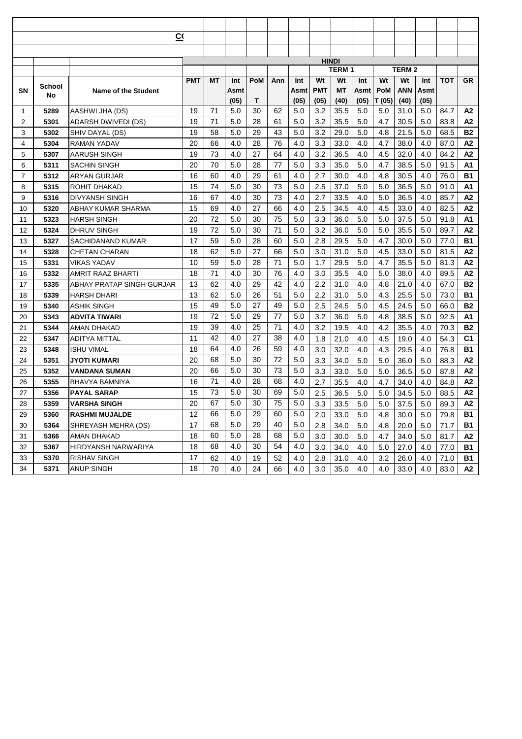|    |              | $\overline{C}$             |            |    |      |     |     |      |            |              |      |            |              |      |            |                |
|----|--------------|----------------------------|------------|----|------|-----|-----|------|------------|--------------|------|------------|--------------|------|------------|----------------|
|    |              |                            |            |    |      |     |     |      |            |              |      |            |              |      |            |                |
|    |              |                            |            |    |      |     |     |      |            | <b>HINDI</b> |      |            |              |      |            |                |
|    |              |                            |            |    |      |     |     |      |            | <b>TERM1</b> |      |            | <b>TERM2</b> |      |            |                |
|    |              |                            | <b>PMT</b> | ΜT | Int  | PoM | Ann | Int  | Wt         | Wt           | Int  | Wt         | Wt           | Int  | <b>TOT</b> | <b>GR</b>      |
| SN | School<br>No | <b>Name of the Student</b> |            |    | Asmt |     |     | Asmt | <b>PMT</b> | МT           | Asmt | <b>PoM</b> | ANN          | Asmt |            |                |
|    |              |                            |            |    | (05) | Т   |     | (05) | (05)       | (40)         | (05) | T (05)     | (40)         | (05) |            |                |
| 1  | 5289         | AASHWI JHA (DS)            | 19         | 71 | 5.0  | 30  | 62  | 5.0  | 3.2        | 35.5         | 5.0  | 5.0        | 31.0         | 5.0  | 84.7       | А2             |
| 2  | 5301         | ADARSH DWIVEDI (DS)        | 19         | 71 | 5.0  | 28  | 61  | 5.0  | 3.2        | 35.5         | 5.0  | 4.7        | 30.5         | 5.0  | 83.8       | А2             |
| 3  | 5302         | SHIV DAYAL (DS)            | 19         | 58 | 5.0  | 29  | 43  | 5.0  | 3.2        | 29.0         | 5.0  | 4.8        | 21.5         | 5.0  | 68.5       | <b>B2</b>      |
| 4  | 5304         | <b>RAMAN YADAV</b>         | 20         | 66 | 4.0  | 28  | 76  | 4.0  | 3.3        | 33.0         | 4.0  | 4.7        | 38.0         | 4.0  | 87.0       | A2             |
| 5  | 5307         | AARUSH SINGH               | 19         | 73 | 4.0  | 27  | 64  | 4.0  | 3.2        | 36.5         | 4.0  | 4.5        | 32.0         | 4.0  | 84.2       | A2             |
| 6  | 5311         | SACHIN SINGH               | 20         | 70 | 5.0  | 28  | 77  | 5.0  | 3.3        | 35.0         | 5.0  | 4.7        | 38.5         | 5.0  | 91.5       | A1             |
| 7  | 5312         | ARYAN GURJAR               | 16         | 60 | 4.0  | 29  | 61  | 4.0  | 2.7        | 30.0         | 4.0  | 4.8        | 30.5         | 4.0  | 76.0       | <b>B1</b>      |
| 8  | 5315         | <b>ROHIT DHAKAD</b>        | 15         | 74 | 5.0  | 30  | 73  | 5.0  | 2.5        | 37.0         | 5.0  | 5.0        | 36.5         | 5.0  | 91.0       | A1             |
| 9  | 5316         | <b>DIVYANSH SINGH</b>      | 16         | 67 | 4.0  | 30  | 73  | 4.0  | 2.7        | 33.5         | 4.0  | 5.0        | 36.5         | 4.0  | 85.7       | A2             |
| 10 | 5320         | ABHAY KUMAR SHARMA         | 15         | 69 | 4.0  | 27  | 66  | 4.0  | 2.5        | 34.5         | 4.0  | 4.5        | 33.0         | 4.0  | 82.5       | A2             |
| 11 | 5323         | HARSH SINGH                | 20         | 72 | 5.0  | 30  | 75  | 5.0  | 3.3        | 36.0         | 5.0  | 5.0        | 37.5         | 5.0  | 91.8       | A <sub>1</sub> |
| 12 | 5324         | <b>DHRUV SINGH</b>         | 19         | 72 | 5.0  | 30  | 71  | 5.0  | 3.2        | 36.0         | 5.0  | 5.0        | 35.5         | 5.0  | 89.7       | A2             |
| 13 | 5327         | SACHIDANAND KUMAR          | 17         | 59 | 5.0  | 28  | 60  | 5.0  | 2.8        | 29.5         | 5.0  | 4.7        | 30.0         | 5.0  | 77.0       | <b>B1</b>      |
| 14 | 5328         | CHETAN CHARAN              | 18         | 62 | 5.0  | 27  | 66  | 5.0  | 3.0        | 31.0         | 5.0  | 4.5        | 33.0         | 5.0  | 81.5       | A2             |
| 15 | 5331         | VIKAS YADAV                | 10         | 59 | 5.0  | 28  | 71  | 5.0  | 1.7        | 29.5         | 5.0  | 4.7        | 35.5         | 5.0  | 81.3       | A2             |
| 16 | 5332         | AMRIT RAAZ BHARTI          | 18         | 71 | 4.0  | 30  | 76  | 4.0  | 3.0        | 35.5         | 4.0  | 5.0        | 38.0         | 4.0  | 89.5       | A2             |
| 17 | 5335         | ABHAY PRATAP SINGH GURJAR  | 13         | 62 | 4.0  | 29  | 42  | 4.0  | 2.2        | 31.0         | 4.0  | 4.8        | 21.0         | 4.0  | 67.0       | <b>B2</b>      |
| 18 | 5339         | HARSH DHARI                | 13         | 62 | 5.0  | 26  | 51  | 5.0  | 2.2        | 31.0         | 5.0  | 4.3        | 25.5         | 5.0  | 73.0       | <b>B1</b>      |
| 19 | 5340         | <b>ASHIK SINGH</b>         | 15         | 49 | 5.0  | 27  | 49  | 5.0  | 2.5        | 24.5         | 5.0  | 4.5        | 24.5         | 5.0  | 66.0       | <b>B2</b>      |
| 20 | 5343         | ADVITA TIWARI              | 19         | 72 | 5.0  | 29  | 77  | 5.0  | 3.2        | 36.0         | 5.0  | 4.8        | 38.5         | 5.0  | 92.5       | A1             |
| 21 | 5344         | AMAN DHAKAD                | 19         | 39 | 4.0  | 25  | 71  | 4.0  | 3.2        | 19.5         | 4.0  | 4.2        | 35.5         | 4.0  | 70.3       | <b>B2</b>      |
| 22 | 5347         | ADITYA MITTAL              | 11         | 42 | 4.0  | 27  | 38  | 4.0  | 1.8        | 21.0         | 4.0  | 4.5        | 19.0         | 4.0  | 54.3       | C <sub>1</sub> |
| 23 | 5348         | ISHU VIMAL                 | 18         | 64 | 4.0  | 26  | 59  | 4.0  | 3.0        | 32.0         | 4.0  | 4.3        | 29.5         | 4.0  | 76.8       | <b>B1</b>      |
| 24 | 5351         | JYOTI KUMARI               | 20         | 68 | 5.0  | 30  | 72  | 5.0  | 3.3        | 34.0         | 5.0  | 5.0        | 36.0         | 5.0  | 88.3       | A2             |
| 25 | 5352         | VANDANA SUMAN              | 20         | 66 | 5.0  | 30  | 73  | 5.0  | 3.3        | 33.0         | 5.0  | 5.0        | 36.5         | 5.0  | 87.8       | A2             |
| 26 | 5355         | BHAVYA BAMNIYA             | 16         | 71 | 4.0  | 28  | 68  | 4.0  | 2.7        | 35.5         | 4.0  | 4.7        | 34.0         | 4.0  | 84.8       | A2             |
| 27 | 5356         | <b>PAYAL SARAP</b>         | 15         | 73 | 5.0  | 30  | 69  | 5.0  | 2.5        | 36.5         | 5.0  | 5.0        | 34.5         | 5.0  | 88.5       | A <sub>2</sub> |
| 28 | 5359         | <b>VARSHA SINGH</b>        | 20         | 67 | 5.0  | 30  | 75  | 5.0  | 3.3        | 33.5         | 5.0  | 5.0        | 37.5         | 5.0  | 89.3       | A2             |
| 29 | 5360         | <b>RASHMI MUJALDE</b>      | 12         | 66 | 5.0  | 29  | 60  | 5.0  | 2.0        | 33.0         | 5.0  | 4.8        | 30.0         | 5.0  | 79.8       | <b>B1</b>      |
| 30 | 5364         | SHREYASH MEHRA (DS)        | 17         | 68 | 5.0  | 29  | 40  | 5.0  | 2.8        | 34.0         | 5.0  | 4.8        | 20.0         | 5.0  | 71.7       | <b>B1</b>      |
| 31 | 5366         | AMAN DHAKAD                | 18         | 60 | 5.0  | 28  | 68  | 5.0  | 3.0        | 30.0         | 5.0  | 4.7        | 34.0         | 5.0  | 81.7       | A2             |
| 32 | 5367         | HIRDYANSH NARWARIYA        | 18         | 68 | 4.0  | 30  | 54  | 4.0  | 3.0        | 34.0         | 4.0  | 5.0        | 27.0         | 4.0  | 77.0       | <b>B1</b>      |
| 33 | 5370         | <b>RISHAV SINGH</b>        | 17         | 62 | 4.0  | 19  | 52  | 4.0  | 2.8        | 31.0         | 4.0  | 3.2        | 26.0         | 4.0  | 71.0       | <b>B1</b>      |
| 34 | 5371         | <b>ANUP SINGH</b>          | 18         | 70 | 4.0  | 24  | 66  | 4.0  | 3.0        | 35.0         | 4.0  | 4.0        | 33.0         | 4.0  | 83.0       | А2             |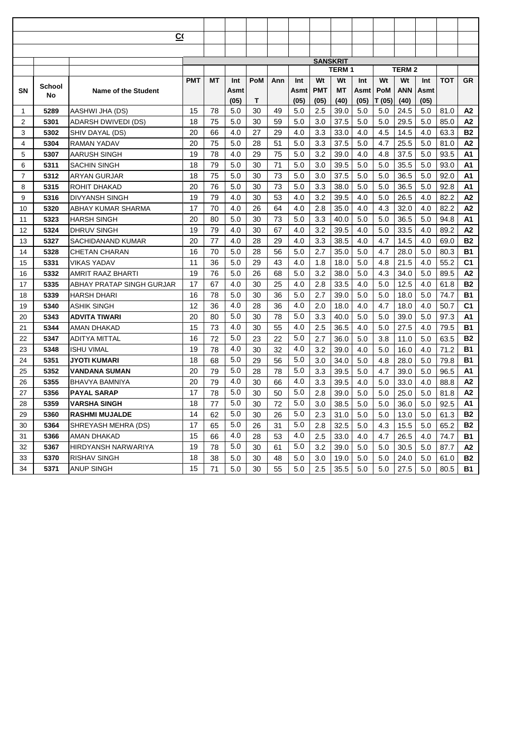|    |        | $\overline{C}$             |            |    |      |     |     |      |            |                 |      |        |              |      |            |                |
|----|--------|----------------------------|------------|----|------|-----|-----|------|------------|-----------------|------|--------|--------------|------|------------|----------------|
|    |        |                            |            |    |      |     |     |      |            |                 |      |        |              |      |            |                |
|    |        |                            |            |    |      |     |     |      |            | <b>SANSKRIT</b> |      |        |              |      |            |                |
|    |        |                            |            |    |      |     |     |      |            | <b>TERM1</b>    |      |        | <b>TERM2</b> |      |            |                |
|    |        |                            | <b>PMT</b> | ΜT | Int  | PoM | Ann | Int  | Wt         | Wt              | Int  | Wt     | Wt           | Int  | <b>TOT</b> | <b>GR</b>      |
| SN | School | <b>Name of the Student</b> |            |    | Asmt |     |     | Asmt | <b>PMT</b> | МT              | Asmt | PoM    | ANN          | Asmt |            |                |
|    | No     |                            |            |    | (05) | Т   |     | (05) | (05)       | (40)            | (05) | T (05) | (40)         | (05) |            |                |
| 1  | 5289   | AASHWI JHA (DS)            | 15         | 78 | 5.0  | 30  | 49  | 5.0  | 2.5        | 39.0            | 5.0  | 5.0    | 24.5         | 5.0  | 81.0       | А2             |
| 2  | 5301   | ADARSH DWIVEDI (DS)        | 18         | 75 | 5.0  | 30  | 59  | 5.0  | 3.0        | 37.5            | 5.0  | 5.0    | 29.5         | 5.0  | 85.0       | A2             |
| 3  | 5302   | SHIV DAYAL (DS)            | 20         | 66 | 4.0  | 27  | 29  | 4.0  | 3.3        | 33.0            | 4.0  | 4.5    | 14.5         | 4.0  | 63.3       | <b>B2</b>      |
| 4  | 5304   | <b>RAMAN YADAV</b>         | 20         | 75 | 5.0  | 28  | 51  | 5.0  | 3.3        | 37.5            | 5.0  | 4.7    | 25.5         | 5.0  | 81.0       | A2             |
| 5  | 5307   | AARUSH SINGH               | 19         | 78 | 4.0  | 29  | 75  | 5.0  | 3.2        | 39.0            | 4.0  | 4.8    | 37.5         | 5.0  | 93.5       | A1             |
| 6  | 5311   | SACHIN SINGH               | 18         | 79 | 5.0  | 30  | 71  | 5.0  | 3.0        | 39.5            | 5.0  | 5.0    | 35.5         | 5.0  | 93.0       | A1             |
| 7  | 5312   | ARYAN GURJAR               | 18         | 75 | 5.0  | 30  | 73  | 5.0  | 3.0        | 37.5            | 5.0  | 5.0    | 36.5         | 5.0  | 92.0       | A1             |
| 8  | 5315   | <b>ROHIT DHAKAD</b>        | 20         | 76 | 5.0  | 30  | 73  | 5.0  | 3.3        | 38.0            | 5.0  | 5.0    | 36.5         | 5.0  | 92.8       | A1             |
| 9  | 5316   | <b>DIVYANSH SINGH</b>      | 19         | 79 | 4.0  | 30  | 53  | 4.0  | 3.2        | 39.5            | 4.0  | 5.0    | 26.5         | 4.0  | 82.2       | A2             |
| 10 | 5320   | ABHAY KUMAR SHARMA         | 17         | 70 | 4.0  | 26  | 64  | 4.0  | 2.8        | 35.0            | 4.0  | 4.3    | 32.0         | 4.0  | 82.2       | A2             |
| 11 | 5323   | HARSH SINGH                | 20         | 80 | 5.0  | 30  | 73  | 5.0  | 3.3        | 40.0            | 5.0  | 5.0    | 36.5         | 5.0  | 94.8       | A <sub>1</sub> |
| 12 | 5324   | <b>DHRUV SINGH</b>         | 19         | 79 | 4.0  | 30  | 67  | 4.0  | 3.2        | 39.5            | 4.0  | 5.0    | 33.5         | 4.0  | 89.2       | A2             |
| 13 | 5327   | SACHIDANAND KUMAR          | 20         | 77 | 4.0  | 28  | 29  | 4.0  | 3.3        | 38.5            | 4.0  | 4.7    | 14.5         | 4.0  | 69.0       | <b>B2</b>      |
| 14 | 5328   | CHETAN CHARAN              | 16         | 70 | 5.0  | 28  | 56  | 5.0  | 2.7        | 35.0            | 5.0  | 4.7    | 28.0         | 5.0  | 80.3       | <b>B1</b>      |
| 15 | 5331   | VIKAS YADAV                | 11         | 36 | 5.0  | 29  | 43  | 4.0  | 1.8        | 18.0            | 5.0  | 4.8    | 21.5         | 4.0  | 55.2       | C <sub>1</sub> |
| 16 | 5332   | AMRIT RAAZ BHARTI          | 19         | 76 | 5.0  | 26  | 68  | 5.0  | 3.2        | 38.0            | 5.0  | 4.3    | 34.0         | 5.0  | 89.5       | A2             |
| 17 | 5335   | ABHAY PRATAP SINGH GURJAR  | 17         | 67 | 4.0  | 30  | 25  | 4.0  | 2.8        | 33.5            | 4.0  | 5.0    | 12.5         | 4.0  | 61.8       | <b>B2</b>      |
| 18 | 5339   | HARSH DHARI                | 16         | 78 | 5.0  | 30  | 36  | 5.0  | 2.7        | 39.0            | 5.0  | 5.0    | 18.0         | 5.0  | 74.7       | <b>B1</b>      |
| 19 | 5340   | <b>ASHIK SINGH</b>         | 12         | 36 | 4.0  | 28  | 36  | 4.0  | 2.0        | 18.0            | 4.0  | 4.7    | 18.0         | 4.0  | 50.7       | C <sub>1</sub> |
| 20 | 5343   | ADVITA TIWARI              | 20         | 80 | 5.0  | 30  | 78  | 5.0  | 3.3        | 40.0            | 5.0  | 5.0    | 39.0         | 5.0  | 97.3       | A1             |
| 21 | 5344   | AMAN DHAKAD                | 15         | 73 | 4.0  | 30  | 55  | 4.0  | 2.5        | 36.5            | 4.0  | 5.0    | 27.5         | 4.0  | 79.5       | <b>B1</b>      |
| 22 | 5347   | ADITYA MITTAL              | 16         | 72 | 5.0  | 23  | 22  | 5.0  | 2.7        | 36.0            | 5.0  | 3.8    | 11.0         | 5.0  | 63.5       | <b>B2</b>      |
| 23 | 5348   | <b>ISHU VIMAL</b>          | 19         | 78 | 4.0  | 30  | 32  | 4.0  | 3.2        | 39.0            | 4.0  | 5.0    | 16.0         | 4.0  | 71.2       | <b>B1</b>      |
| 24 | 5351   | JYOTI KUMARI               | 18         | 68 | 5.0  | 29  | 56  | 5.0  | 3.0        | 34.0            | 5.0  | 4.8    | 28.0         | 5.0  | 79.8       | <b>B1</b>      |
| 25 | 5352   | VANDANA SUMAN              | 20         | 79 | 5.0  | 28  | 78  | 5.0  | 3.3        | 39.5            | 5.0  | 4.7    | 39.0         | 5.0  | 96.5       | A1             |
| 26 | 5355   | BHAVYA BAMNIYA             | 20         | 79 | 4.0  | 30  | 66  | 4.0  | 3.3        | 39.5            | 4.0  | 5.0    | 33.0         | 4.0  | 88.8       | A2             |
| 27 | 5356   | <b>PAYAL SARAP</b>         | 17         | 78 | 5.0  | 30  | 50  | 5.0  | 2.8        | 39.0            | 5.0  | 5.0    | 25.0         | 5.0  | 81.8       | A2             |
| 28 | 5359   | <b>VARSHA SINGH</b>        | 18         | 77 | 5.0  | 30  | 72  | 5.0  | 3.0        | 38.5            | 5.0  | 5.0    | 36.0         | 5.0  | 92.5       | A <sub>1</sub> |
| 29 | 5360   | <b>RASHMI MUJALDE</b>      | 14         | 62 | 5.0  | 30  | 26  | 5.0  | 2.3        | 31.0            | 5.0  | 5.0    | 13.0         | 5.0  | 61.3       | <b>B2</b>      |
| 30 | 5364   | SHREYASH MEHRA (DS)        | 17         | 65 | 5.0  | 26  | 31  | 5.0  | 2.8        | 32.5            | 5.0  | 4.3    | 15.5         | 5.0  | 65.2       | <b>B2</b>      |
| 31 | 5366   | AMAN DHAKAD                | 15         | 66 | 4.0  | 28  | 53  | 4.0  | 2.5        | 33.0            | 4.0  | 4.7    | 26.5         | 4.0  | 74.7       | <b>B1</b>      |
| 32 | 5367   | HIRDYANSH NARWARIYA        | 19         | 78 | 5.0  | 30  | 61  | 5.0  | 3.2        | 39.0            | 5.0  | 5.0    | 30.5         | 5.0  | 87.7       | A2             |
| 33 | 5370   | <b>RISHAV SINGH</b>        | 18         | 38 | 5.0  | 30  | 48  | 5.0  | 3.0        | 19.0            | 5.0  | 5.0    | 24.0         | 5.0  | 61.0       | <b>B2</b>      |
| 34 | 5371   | <b>ANUP SINGH</b>          | 15         | 71 | 5.0  | 30  | 55  | 5.0  | 2.5        | 35.5            | 5.0  | 5.0    | 27.5         | 5.0  | 80.5       | <b>B1</b>      |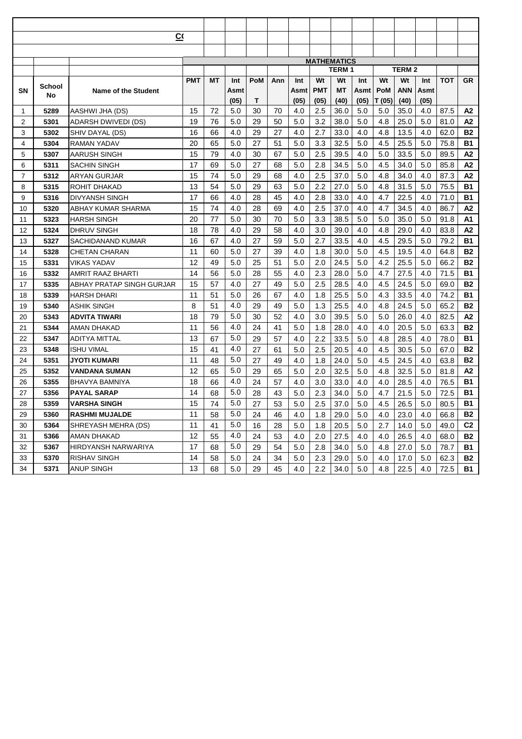|    |        | $\overline{C}$             |            |    |      |     |     |      |            |                    |      |            |              |      |            |                |
|----|--------|----------------------------|------------|----|------|-----|-----|------|------------|--------------------|------|------------|--------------|------|------------|----------------|
|    |        |                            |            |    |      |     |     |      |            |                    |      |            |              |      |            |                |
|    |        |                            |            |    |      |     |     |      |            | <b>MATHEMATICS</b> |      |            |              |      |            |                |
|    |        |                            |            |    |      |     |     |      |            | <b>TERM1</b>       |      |            | <b>TERM2</b> |      |            |                |
|    |        |                            | <b>PMT</b> | ΜT | Int  | PoM | Ann | Int  | Wt         | Wt                 | Int  | Wt         | Wt           | Int  | <b>TOT</b> | <b>GR</b>      |
| SN | School | <b>Name of the Student</b> |            |    | Asmt |     |     | Asmt | <b>PMT</b> | МT                 | Asmt | <b>PoM</b> | <b>ANN</b>   | Asmt |            |                |
|    | No     |                            |            |    | (05) | Т   |     | (05) | (05)       | (40)               | (05) | T (05)     | (40)         | (05) |            |                |
| 1  | 5289   | AASHWI JHA (DS)            | 15         | 72 | 5.0  | 30  | 70  | 4.0  | 2.5        | 36.0               | 5.0  | 5.0        | 35.0         | 4.0  | 87.5       | А2             |
| 2  | 5301   | ADARSH DWIVEDI (DS)        | 19         | 76 | 5.0  | 29  | 50  | 5.0  | 3.2        | 38.0               | 5.0  | 4.8        | 25.0         | 5.0  | 81.0       | А2             |
| 3  | 5302   | SHIV DAYAL (DS)            | 16         | 66 | 4.0  | 29  | 27  | 4.0  | 2.7        | 33.0               | 4.0  | 4.8        | 13.5         | 4.0  | 62.0       | <b>B2</b>      |
| 4  | 5304   | <b>RAMAN YADAV</b>         | 20         | 65 | 5.0  | 27  | 51  | 5.0  | 3.3        | 32.5               | 5.0  | 4.5        | 25.5         | 5.0  | 75.8       | <b>B1</b>      |
| 5  | 5307   | AARUSH SINGH               | 15         | 79 | 4.0  | 30  | 67  | 5.0  | 2.5        | 39.5               | 4.0  | 5.0        | 33.5         | 5.0  | 89.5       | A2             |
| 6  | 5311   | SACHIN SINGH               | 17         | 69 | 5.0  | 27  | 68  | 5.0  | 2.8        | 34.5               | 5.0  | 4.5        | 34.0         | 5.0  | 85.8       | A2             |
| 7  | 5312   | ARYAN GURJAR               | 15         | 74 | 5.0  | 29  | 68  | 4.0  | 2.5        | 37.0               | 5.0  | 4.8        | 34.0         | 4.0  | 87.3       | A2             |
| 8  | 5315   | <b>ROHIT DHAKAD</b>        | 13         | 54 | 5.0  | 29  | 63  | 5.0  | 2.2        | 27.0               | 5.0  | 4.8        | 31.5         | 5.0  | 75.5       | <b>B1</b>      |
| 9  | 5316   | <b>DIVYANSH SINGH</b>      | 17         | 66 | 4.0  | 28  | 45  | 4.0  | 2.8        | 33.0               | 4.0  | 4.7        | 22.5         | 4.0  | 71.0       | <b>B1</b>      |
| 10 | 5320   | ABHAY KUMAR SHARMA         | 15         | 74 | 4.0  | 28  | 69  | 4.0  | 2.5        | 37.0               | 4.0  | 4.7        | 34.5         | 4.0  | 86.7       | A2             |
| 11 | 5323   | HARSH SINGH                | 20         | 77 | 5.0  | 30  | 70  | 5.0  | 3.3        | 38.5               | 5.0  | 5.0        | 35.0         | 5.0  | 91.8       | A <sub>1</sub> |
| 12 | 5324   | <b>DHRUV SINGH</b>         | 18         | 78 | 4.0  | 29  | 58  | 4.0  | 3.0        | 39.0               | 4.0  | 4.8        | 29.0         | 4.0  | 83.8       | A2             |
| 13 | 5327   | SACHIDANAND KUMAR          | 16         | 67 | 4.0  | 27  | 59  | 5.0  | 2.7        | 33.5               | 4.0  | 4.5        | 29.5         | 5.0  | 79.2       | <b>B1</b>      |
| 14 | 5328   | CHETAN CHARAN              | 11         | 60 | 5.0  | 27  | 39  | 4.0  | 1.8        | 30.0               | 5.0  | 4.5        | 19.5         | 4.0  | 64.8       | <b>B2</b>      |
| 15 | 5331   | VIKAS YADAV                | 12         | 49 | 5.0  | 25  | 51  | 5.0  | 2.0        | 24.5               | 5.0  | 4.2        | 25.5         | 5.0  | 66.2       | <b>B2</b>      |
| 16 | 5332   | AMRIT RAAZ BHARTI          | 14         | 56 | 5.0  | 28  | 55  | 4.0  | 2.3        | 28.0               | 5.0  | 4.7        | 27.5         | 4.0  | 71.5       | <b>B1</b>      |
| 17 | 5335   | ABHAY PRATAP SINGH GURJAR  | 15         | 57 | 4.0  | 27  | 49  | 5.0  | 2.5        | 28.5               | 4.0  | 4.5        | 24.5         | 5.0  | 69.0       | <b>B2</b>      |
| 18 | 5339   | HARSH DHARI                | 11         | 51 | 5.0  | 26  | 67  | 4.0  | 1.8        | 25.5               | 5.0  | 4.3        | 33.5         | 4.0  | 74.2       | <b>B1</b>      |
| 19 | 5340   | <b>ASHIK SINGH</b>         | 8          | 51 | 4.0  | 29  | 49  | 5.0  | 1.3        | 25.5               | 4.0  | 4.8        | 24.5         | 5.0  | 65.2       | <b>B2</b>      |
| 20 | 5343   | ADVITA TIWARI              | 18         | 79 | 5.0  | 30  | 52  | 4.0  | 3.0        | 39.5               | 5.0  | 5.0        | 26.0         | 4.0  | 82.5       | A <sub>2</sub> |
| 21 | 5344   | AMAN DHAKAD                | 11         | 56 | 4.0  | 24  | 41  | 5.0  | 1.8        | 28.0               | 4.0  | 4.0        | 20.5         | 5.0  | 63.3       | <b>B2</b>      |
| 22 | 5347   | ADITYA MITTAL              | 13         | 67 | 5.0  | 29  | 57  | 4.0  | 2.2        | 33.5               | 5.0  | 4.8        | 28.5         | 4.0  | 78.0       | <b>B1</b>      |
| 23 | 5348   | <b>ISHU VIMAL</b>          | 15         | 41 | 4.0  | 27  | 61  | 5.0  | 2.5        | 20.5               | 4.0  | 4.5        | 30.5         | 5.0  | 67.0       | <b>B2</b>      |
| 24 | 5351   | JYOTI KUMARI               | 11         | 48 | 5.0  | 27  | 49  | 4.0  | 1.8        | 24.0               | 5.0  | 4.5        | 24.5         | 4.0  | 63.8       | <b>B2</b>      |
| 25 | 5352   | VANDANA SUMAN              | 12         | 65 | 5.0  | 29  | 65  | 5.0  | 2.0        | 32.5               | 5.0  | 4.8        | 32.5         | 5.0  | 81.8       | A2             |
| 26 | 5355   | BHAVYA BAMNIYA             | 18         | 66 | 4.0  | 24  | 57  | 4.0  | 3.0        | 33.0               | 4.0  | 4.0        | 28.5         | 4.0  | 76.5       | <b>B1</b>      |
| 27 | 5356   | <b>PAYAL SARAP</b>         | 14         | 68 | 5.0  | 28  | 43  | 5.0  | 2.3        | 34.0               | 5.0  | 4.7        | 21.5         | 5.0  | 72.5       | <b>B1</b>      |
| 28 | 5359   | <b>VARSHA SINGH</b>        | 15         | 74 | 5.0  | 27  | 53  | 5.0  | 2.5        | 37.0               | 5.0  | 4.5        | 26.5         | 5.0  | 80.5       | <b>B1</b>      |
| 29 | 5360   | <b>RASHMI MUJALDE</b>      | 11         | 58 | 5.0  | 24  | 46  | 4.0  | 1.8        | 29.0               | 5.0  | 4.0        | 23.0         | 4.0  | 66.8       | <b>B2</b>      |
| 30 | 5364   | SHREYASH MEHRA (DS)        | 11         | 41 | 5.0  | 16  | 28  | 5.0  | 1.8        | 20.5               | 5.0  | 2.7        | 14.0         | 5.0  | 49.0       | C <sub>2</sub> |
| 31 | 5366   | AMAN DHAKAD                | 12         | 55 | 4.0  | 24  | 53  | 4.0  | 2.0        | 27.5               | 4.0  | 4.0        | 26.5         | 4.0  | 68.0       | <b>B2</b>      |
| 32 | 5367   | HIRDYANSH NARWARIYA        | 17         | 68 | 5.0  | 29  | 54  | 5.0  | 2.8        | 34.0               | 5.0  | 4.8        | 27.0         | 5.0  | 78.7       | <b>B1</b>      |
| 33 | 5370   | <b>RISHAV SINGH</b>        | 14         | 58 | 5.0  | 24  | 34  | 5.0  | 2.3        | 29.0               | 5.0  | 4.0        | 17.0         | 5.0  | 62.3       | <b>B2</b>      |
| 34 | 5371   | <b>ANUP SINGH</b>          | 13         | 68 | 5.0  | 29  | 45  | 4.0  | 2.2        | 34.0               | 5.0  | 4.8        | 22.5         | 4.0  | 72.5       | <b>B1</b>      |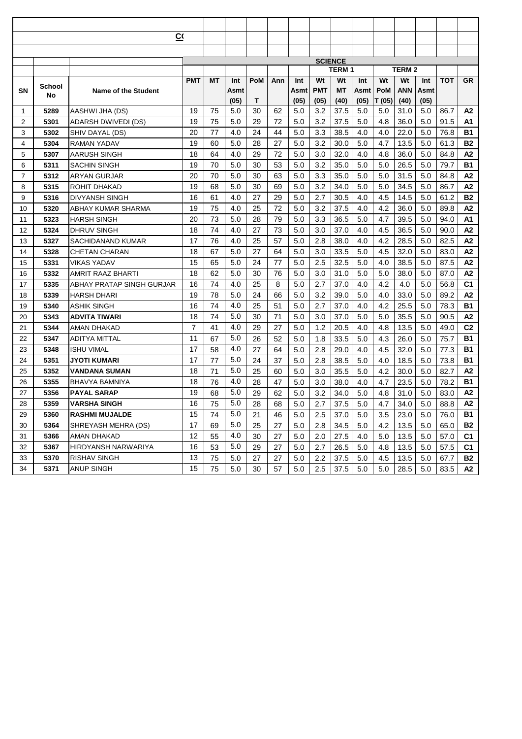|    |              | $\overline{C}$             |                |    |      |     |     |      |            |                |      |            |              |      |            |                |
|----|--------------|----------------------------|----------------|----|------|-----|-----|------|------------|----------------|------|------------|--------------|------|------------|----------------|
|    |              |                            |                |    |      |     |     |      |            |                |      |            |              |      |            |                |
|    |              |                            |                |    |      |     |     |      |            | <b>SCIENCE</b> |      |            |              |      |            |                |
|    |              |                            |                |    |      |     |     |      |            | <b>TERM1</b>   |      |            | <b>TERM2</b> |      |            |                |
|    |              |                            | <b>PMT</b>     | ΜT | Int  | PoM | Ann | Int  | Wt         | Wt             | Int  | Wt         | Wt           | Int  | <b>TOT</b> | <b>GR</b>      |
| SN | School<br>No | <b>Name of the Student</b> |                |    | Asmt |     |     | Asmt | <b>PMT</b> | МT             | Asmt | <b>PoM</b> | ANN          | Asmt |            |                |
|    |              |                            |                |    | (05) | Т   |     | (05) | (05)       | (40)           | (05) | T (05)     | (40)         | (05) |            |                |
| 1  | 5289         | AASHWI JHA (DS)            | 19             | 75 | 5.0  | 30  | 62  | 5.0  | 3.2        | 37.5           | 5.0  | 5.0        | 31.0         | 5.0  | 86.7       | А2             |
| 2  | 5301         | ADARSH DWIVEDI (DS)        | 19             | 75 | 5.0  | 29  | 72  | 5.0  | 3.2        | 37.5           | 5.0  | 4.8        | 36.0         | 5.0  | 91.5       | A1             |
| 3  | 5302         | SHIV DAYAL (DS)            | 20             | 77 | 4.0  | 24  | 44  | 5.0  | 3.3        | 38.5           | 4.0  | 4.0        | 22.0         | 5.0  | 76.8       | <b>B1</b>      |
| 4  | 5304         | <b>RAMAN YADAV</b>         | 19             | 60 | 5.0  | 28  | 27  | 5.0  | 3.2        | 30.0           | 5.0  | 4.7        | 13.5         | 5.0  | 61.3       | <b>B2</b>      |
| 5  | 5307         | AARUSH SINGH               | 18             | 64 | 4.0  | 29  | 72  | 5.0  | 3.0        | 32.0           | 4.0  | 4.8        | 36.0         | 5.0  | 84.8       | A2             |
| 6  | 5311         | SACHIN SINGH               | 19             | 70 | 5.0  | 30  | 53  | 5.0  | 3.2        | 35.0           | 5.0  | 5.0        | 26.5         | 5.0  | 79.7       | <b>B1</b>      |
| 7  | 5312         | ARYAN GURJAR               | 20             | 70 | 5.0  | 30  | 63  | 5.0  | 3.3        | 35.0           | 5.0  | 5.0        | 31.5         | 5.0  | 84.8       | A2             |
| 8  | 5315         | <b>ROHIT DHAKAD</b>        | 19             | 68 | 5.0  | 30  | 69  | 5.0  | 3.2        | 34.0           | 5.0  | 5.0        | 34.5         | 5.0  | 86.7       | A2             |
| 9  | 5316         | <b>DIVYANSH SINGH</b>      | 16             | 61 | 4.0  | 27  | 29  | 5.0  | 2.7        | 30.5           | 4.0  | 4.5        | 14.5         | 5.0  | 61.2       | <b>B2</b>      |
| 10 | 5320         | ABHAY KUMAR SHARMA         | 19             | 75 | 4.0  | 25  | 72  | 5.0  | 3.2        | 37.5           | 4.0  | 4.2        | 36.0         | 5.0  | 89.8       | A2             |
| 11 | 5323         | HARSH SINGH                | 20             | 73 | 5.0  | 28  | 79  | 5.0  | 3.3        | 36.5           | 5.0  | 4.7        | 39.5         | 5.0  | 94.0       | A <sub>1</sub> |
| 12 | 5324         | <b>DHRUV SINGH</b>         | 18             | 74 | 4.0  | 27  | 73  | 5.0  | 3.0        | 37.0           | 4.0  | 4.5        | 36.5         | 5.0  | 90.0       | A2             |
| 13 | 5327         | SACHIDANAND KUMAR          | 17             | 76 | 4.0  | 25  | 57  | 5.0  | 2.8        | 38.0           | 4.0  | 4.2        | 28.5         | 5.0  | 82.5       | A2             |
| 14 | 5328         | CHETAN CHARAN              | 18             | 67 | 5.0  | 27  | 64  | 5.0  | 3.0        | 33.5           | 5.0  | 4.5        | 32.0         | 5.0  | 83.0       | A2             |
| 15 | 5331         | VIKAS YADAV                | 15             | 65 | 5.0  | 24  | 77  | 5.0  | 2.5        | 32.5           | 5.0  | 4.0        | 38.5         | 5.0  | 87.5       | A2             |
| 16 | 5332         | AMRIT RAAZ BHARTI          | 18             | 62 | 5.0  | 30  | 76  | 5.0  | 3.0        | 31.0           | 5.0  | 5.0        | 38.0         | 5.0  | 87.0       | A2             |
| 17 | 5335         | ABHAY PRATAP SINGH GURJAR  | 16             | 74 | 4.0  | 25  | 8   | 5.0  | 2.7        | 37.0           | 4.0  | 4.2        | 4.0          | 5.0  | 56.8       | C <sub>1</sub> |
| 18 | 5339         | HARSH DHARI                | 19             | 78 | 5.0  | 24  | 66  | 5.0  | 3.2        | 39.0           | 5.0  | 4.0        | 33.0         | 5.0  | 89.2       | A2             |
| 19 | 5340         | <b>ASHIK SINGH</b>         | 16             | 74 | 4.0  | 25  | 51  | 5.0  | 2.7        | 37.0           | 4.0  | 4.2        | 25.5         | 5.0  | 78.3       | <b>B1</b>      |
| 20 | 5343         | ADVITA TIWARI              | 18             | 74 | 5.0  | 30  | 71  | 5.0  | 3.0        | 37.0           | 5.0  | 5.0        | 35.5         | 5.0  | 90.5       | A <sub>2</sub> |
| 21 | 5344         | AMAN DHAKAD                | $\overline{7}$ | 41 | 4.0  | 29  | 27  | 5.0  | 1.2        | 20.5           | 4.0  | 4.8        | 13.5         | 5.0  | 49.0       | C <sub>2</sub> |
| 22 | 5347         | ADITYA MITTAL              | 11             | 67 | 5.0  | 26  | 52  | 5.0  | 1.8        | 33.5           | 5.0  | 4.3        | 26.0         | 5.0  | 75.7       | <b>B1</b>      |
| 23 | 5348         | <b>ISHU VIMAL</b>          | 17             | 58 | 4.0  | 27  | 64  | 5.0  | 2.8        | 29.0           | 4.0  | 4.5        | 32.0         | 5.0  | 77.3       | <b>B1</b>      |
| 24 | 5351         | JYOTI KUMARI               | 17             | 77 | 5.0  | 24  | 37  | 5.0  | 2.8        | 38.5           | 5.0  | 4.0        | 18.5         | 5.0  | 73.8       | <b>B1</b>      |
| 25 | 5352         | VANDANA SUMAN              | 18             | 71 | 5.0  | 25  | 60  | 5.0  | 3.0        | 35.5           | 5.0  | 4.2        | 30.0         | 5.0  | 82.7       | A2             |
| 26 | 5355         | BHAVYA BAMNIYA             | 18             | 76 | 4.0  | 28  | 47  | 5.0  | 3.0        | 38.0           | 4.0  | 4.7        | 23.5         | 5.0  | 78.2       | <b>B1</b>      |
| 27 | 5356         | <b>PAYAL SARAP</b>         | 19             | 68 | 5.0  | 29  | 62  | 5.0  | 3.2        | 34.0           | 5.0  | 4.8        | 31.0         | 5.0  | 83.0       | A2             |
| 28 | 5359         | <b>VARSHA SINGH</b>        | 16             | 75 | 5.0  | 28  | 68  | 5.0  | 2.7        | 37.5           | 5.0  | 4.7        | 34.0         | 5.0  | 88.8       | A2             |
| 29 | 5360         | <b>RASHMI MUJALDE</b>      | 15             | 74 | 5.0  | 21  | 46  | 5.0  | 2.5        | 37.0           | 5.0  | 3.5        | 23.0         | 5.0  | 76.0       | <b>B1</b>      |
| 30 | 5364         | SHREYASH MEHRA (DS)        | 17             | 69 | 5.0  | 25  | 27  | 5.0  | 2.8        | 34.5           | 5.0  | 4.2        | 13.5         | 5.0  | 65.0       | <b>B2</b>      |
| 31 | 5366         | AMAN DHAKAD                | 12             | 55 | 4.0  | 30  | 27  | 5.0  | 2.0        | 27.5           | 4.0  | 5.0        | 13.5         | 5.0  | 57.0       | C <sub>1</sub> |
| 32 | 5367         | HIRDYANSH NARWARIYA        | 16             | 53 | 5.0  | 29  | 27  | 5.0  | 2.7        | 26.5           | 5.0  | 4.8        | 13.5         | 5.0  | 57.5       | C1             |
| 33 | 5370         | <b>RISHAV SINGH</b>        | 13             | 75 | 5.0  | 27  | 27  | 5.0  | 2.2        | 37.5           | 5.0  | 4.5        | 13.5         | 5.0  | 67.7       | <b>B2</b>      |
| 34 | 5371         | <b>ANUP SINGH</b>          | 15             | 75 | 5.0  | 30  | 57  | 5.0  | 2.5        | 37.5           | 5.0  | 5.0        | 28.5         | 5.0  | 83.5       | A2             |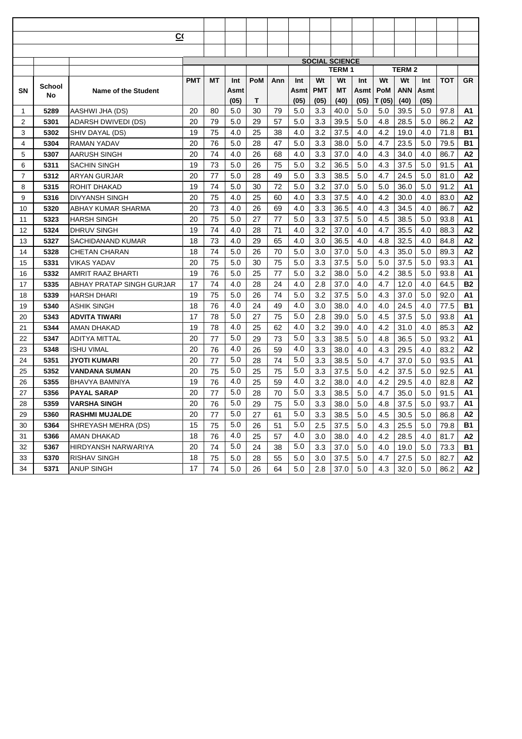|    |        | $\overline{C}$             |            |    |      |     |     |      |            |                       |      |        |              |      |            |                |
|----|--------|----------------------------|------------|----|------|-----|-----|------|------------|-----------------------|------|--------|--------------|------|------------|----------------|
|    |        |                            |            |    |      |     |     |      |            |                       |      |        |              |      |            |                |
|    |        |                            |            |    |      |     |     |      |            | <b>SOCIAL SCIENCE</b> |      |        |              |      |            |                |
|    |        |                            |            |    |      |     |     |      |            | <b>TERM1</b>          |      |        | <b>TERM2</b> |      |            |                |
|    |        |                            | <b>PMT</b> | ΜT | Int  | PoM | Ann | Int  | Wt         | Wt                    | Int  | Wt     | Wt           | Int  | <b>TOT</b> | <b>GR</b>      |
| SN | School | <b>Name of the Student</b> |            |    | Asmt |     |     | Asmt | <b>PMT</b> | МT                    | Asmt | PoM    | <b>ANN</b>   | Asmt |            |                |
|    | No     |                            |            |    | (05) | Т   |     | (05) | (05)       | (40)                  | (05) | T (05) | (40)         | (05) |            |                |
| 1  | 5289   | AASHWI JHA (DS)            | 20         | 80 | 5.0  | 30  | 79  | 5.0  | 3.3        | 40.0                  | 5.0  | 5.0    | 39.5         | 5.0  | 97.8       | A1             |
| 2  | 5301   | ADARSH DWIVEDI (DS)        | 20         | 79 | 5.0  | 29  | 57  | 5.0  | 3.3        | 39.5                  | 5.0  | 4.8    | 28.5         | 5.0  | 86.2       | A2             |
| 3  | 5302   | SHIV DAYAL (DS)            | 19         | 75 | 4.0  | 25  | 38  | 4.0  | 3.2        | 37.5                  | 4.0  | 4.2    | 19.0         | 4.0  | 71.8       | <b>B1</b>      |
| 4  | 5304   | <b>RAMAN YADAV</b>         | 20         | 76 | 5.0  | 28  | 47  | 5.0  | 3.3        | 38.0                  | 5.0  | 4.7    | 23.5         | 5.0  | 79.5       | <b>B1</b>      |
| 5  | 5307   | AARUSH SINGH               | 20         | 74 | 4.0  | 26  | 68  | 4.0  | 3.3        | 37.0                  | 4.0  | 4.3    | 34.0         | 4.0  | 86.7       | A2             |
| 6  | 5311   | SACHIN SINGH               | 19         | 73 | 5.0  | 26  | 75  | 5.0  | 3.2        | 36.5                  | 5.0  | 4.3    | 37.5         | 5.0  | 91.5       | A1             |
| 7  | 5312   | ARYAN GURJAR               | 20         | 77 | 5.0  | 28  | 49  | 5.0  | 3.3        | 38.5                  | 5.0  | 4.7    | 24.5         | 5.0  | 81.0       | A2             |
| 8  | 5315   | <b>ROHIT DHAKAD</b>        | 19         | 74 | 5.0  | 30  | 72  | 5.0  | 3.2        | 37.0                  | 5.0  | 5.0    | 36.0         | 5.0  | 91.2       | A1             |
| 9  | 5316   | <b>DIVYANSH SINGH</b>      | 20         | 75 | 4.0  | 25  | 60  | 4.0  | 3.3        | 37.5                  | 4.0  | 4.2    | 30.0         | 4.0  | 83.0       | A2             |
| 10 | 5320   | ABHAY KUMAR SHARMA         | 20         | 73 | 4.0  | 26  | 69  | 4.0  | 3.3        | 36.5                  | 4.0  | 4.3    | 34.5         | 4.0  | 86.7       | A2             |
| 11 | 5323   | HARSH SINGH                | 20         | 75 | 5.0  | 27  | 77  | 5.0  | 3.3        | 37.5                  | 5.0  | 4.5    | 38.5         | 5.0  | 93.8       | A <sub>1</sub> |
| 12 | 5324   | <b>DHRUV SINGH</b>         | 19         | 74 | 4.0  | 28  | 71  | 4.0  | 3.2        | 37.0                  | 4.0  | 4.7    | 35.5         | 4.0  | 88.3       | A2             |
| 13 | 5327   | SACHIDANAND KUMAR          | 18         | 73 | 4.0  | 29  | 65  | 4.0  | 3.0        | 36.5                  | 4.0  | 4.8    | 32.5         | 4.0  | 84.8       | A2             |
| 14 | 5328   | CHETAN CHARAN              | 18         | 74 | 5.0  | 26  | 70  | 5.0  | 3.0        | 37.0                  | 5.0  | 4.3    | 35.0         | 5.0  | 89.3       | A2             |
| 15 | 5331   | VIKAS YADAV                | 20         | 75 | 5.0  | 30  | 75  | 5.0  | 3.3        | 37.5                  | 5.0  | 5.0    | 37.5         | 5.0  | 93.3       | A1             |
| 16 | 5332   | AMRIT RAAZ BHARTI          | 19         | 76 | 5.0  | 25  | 77  | 5.0  | 3.2        | 38.0                  | 5.0  | 4.2    | 38.5         | 5.0  | 93.8       | A1             |
| 17 | 5335   | ABHAY PRATAP SINGH GURJAR  | 17         | 74 | 4.0  | 28  | 24  | 4.0  | 2.8        | 37.0                  | 4.0  | 4.7    | 12.0         | 4.0  | 64.5       | <b>B2</b>      |
| 18 | 5339   | HARSH DHARI                | 19         | 75 | 5.0  | 26  | 74  | 5.0  | 3.2        | 37.5                  | 5.0  | 4.3    | 37.0         | 5.0  | 92.0       | A1             |
| 19 | 5340   | <b>ASHIK SINGH</b>         | 18         | 76 | 4.0  | 24  | 49  | 4.0  | 3.0        | 38.0                  | 4.0  | 4.0    | 24.5         | 4.0  | 77.5       | <b>B1</b>      |
| 20 | 5343   | ADVITA TIWARI              | 17         | 78 | 5.0  | 27  | 75  | 5.0  | 2.8        | 39.0                  | 5.0  | 4.5    | 37.5         | 5.0  | 93.8       | A1             |
| 21 | 5344   | AMAN DHAKAD                | 19         | 78 | 4.0  | 25  | 62  | 4.0  | 3.2        | 39.0                  | 4.0  | 4.2    | 31.0         | 4.0  | 85.3       | A2             |
| 22 | 5347   | ADITYA MITTAL              | 20         | 77 | 5.0  | 29  | 73  | 5.0  | 3.3        | 38.5                  | 5.0  | 4.8    | 36.5         | 5.0  | 93.2       | A1             |
| 23 | 5348   | <b>ISHU VIMAL</b>          | 20         | 76 | 4.0  | 26  | 59  | 4.0  | 3.3        | 38.0                  | 4.0  | 4.3    | 29.5         | 4.0  | 83.2       | A2             |
| 24 | 5351   | JYOTI KUMARI               | 20         | 77 | 5.0  | 28  | 74  | 5.0  | 3.3        | 38.5                  | 5.0  | 4.7    | 37.0         | 5.0  | 93.5       | A1             |
| 25 | 5352   | VANDANA SUMAN              | 20         | 75 | 5.0  | 25  | 75  | 5.0  | 3.3        | 37.5                  | 5.0  | 4.2    | 37.5         | 5.0  | 92.5       | A1             |
| 26 | 5355   | BHAVYA BAMNIYA             | 19         | 76 | 4.0  | 25  | 59  | 4.0  | 3.2        | 38.0                  | 4.0  | 4.2    | 29.5         | 4.0  | 82.8       | A2             |
| 27 | 5356   | <b>PAYAL SARAP</b>         | 20         | 77 | 5.0  | 28  | 70  | 5.0  | 3.3        | 38.5                  | 5.0  | 4.7    | 35.0         | 5.0  | 91.5       | A1             |
| 28 | 5359   | <b>VARSHA SINGH</b>        | 20         | 76 | 5.0  | 29  | 75  | 5.0  | 3.3        | 38.0                  | 5.0  | 4.8    | 37.5         | 5.0  | 93.7       | A <sub>1</sub> |
| 29 | 5360   | <b>RASHMI MUJALDE</b>      | 20         | 77 | 5.0  | 27  | 61  | 5.0  | 3.3        | 38.5                  | 5.0  | 4.5    | 30.5         | 5.0  | 86.8       | A2             |
| 30 | 5364   | SHREYASH MEHRA (DS)        | 15         | 75 | 5.0  | 26  | 51  | 5.0  | 2.5        | 37.5                  | 5.0  | 4.3    | 25.5         | 5.0  | 79.8       | <b>B1</b>      |
| 31 | 5366   | AMAN DHAKAD                | 18         | 76 | 4.0  | 25  | 57  | 4.0  | 3.0        | 38.0                  | 4.0  | 4.2    | 28.5         | 4.0  | 81.7       | A2             |
| 32 | 5367   | HIRDYANSH NARWARIYA        | 20         | 74 | 5.0  | 24  | 38  | 5.0  | 3.3        | 37.0                  | 5.0  | 4.0    | 19.0         | 5.0  | 73.3       | <b>B1</b>      |
| 33 | 5370   | <b>RISHAV SINGH</b>        | 18         | 75 | 5.0  | 28  | 55  | 5.0  | 3.0        | 37.5                  | 5.0  | 4.7    | 27.5         | 5.0  | 82.7       | А2             |
| 34 | 5371   | <b>ANUP SINGH</b>          | 17         | 74 | 5.0  | 26  | 64  | 5.0  | 2.8        | 37.0                  | 5.0  | 4.3    | 32.0         | 5.0  | 86.2       | А2             |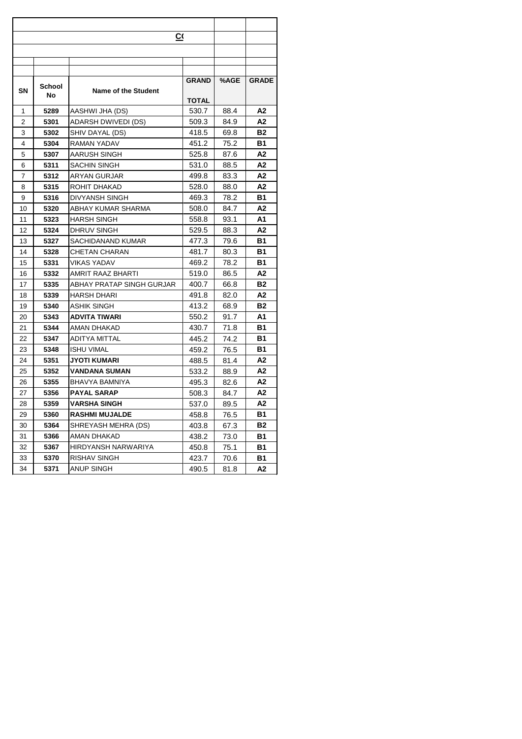|                |        | CО                        |              |      |              |
|----------------|--------|---------------------------|--------------|------|--------------|
|                |        |                           |              |      |              |
|                |        |                           |              |      |              |
|                |        |                           |              |      |              |
|                |        |                           | <b>GRAND</b> | %AGE | <b>GRADE</b> |
| <b>SN</b>      | School | Name of the Student       |              |      |              |
|                | No.    |                           | TOTAL        |      |              |
| 1              | 5289   | AASHWI JHA (DS)           | 530.7        | 88.4 | А2           |
| 2              | 5301   | ADARSH DWIVEDI (DS)       | 509.3        | 84.9 | А2           |
| 3              | 5302   | SHIV DAYAL (DS)           | 418.5        | 69.8 | <b>B2</b>    |
| $\overline{4}$ | 5304   | RAMAN YADAV               | 451.2        | 75.2 | <b>B1</b>    |
| 5              | 5307   | AARUSH SINGH              | 525.8        | 87.6 | A2           |
| 6              | 5311   | <b>SACHIN SINGH</b>       | 531.0        | 88.5 | А2           |
| 7              | 5312   | ARYAN GURJAR              | 499.8        | 83.3 | А2           |
| 8              | 5315   | ROHIT DHAKAD              | 528.0        | 88.0 | А2           |
| 9              | 5316   | <b>DIVYANSH SINGH</b>     | 469.3        | 78.2 | B1           |
| 10             | 5320   | ABHAY KUMAR SHARMA        | 508.0        | 84.7 | А2           |
| 11             | 5323   | HARSH SINGH               | 558.8        | 93.1 | Α1           |
| 12             | 5324   | DHRUV SINGH               | 529.5        | 88.3 | А2           |
| 13             | 5327   | SACHIDANAND KUMAR         | 477.3        | 79.6 | В1           |
| 14             | 5328   | <b>CHETAN CHARAN</b>      | 481.7        | 80.3 | Β1           |
| 15             | 5331   | <b>VIKAS YADAV</b>        | 469.2        | 78.2 | В1           |
| 16             | 5332   | AMRIT RAAZ BHARTI         | 519.0        | 86.5 | A2           |
| 17             | 5335   | ABHAY PRATAP SINGH GURJAR | 400.7        | 66.8 | <b>B2</b>    |
| 18             | 5339   | HARSH DHARI               | 491.8        | 82.0 | A2           |
| 19             | 5340   | <b>ASHIK SINGH</b>        | 413.2        | 68.9 | <b>B2</b>    |
| 20             | 5343   | ADVITA TIWARI             | 550.2        | 91.7 | Α1           |
| 21             | 5344   | AMAN DHAKAD               | 430.7        | 71.8 | <b>B1</b>    |
| 22             | 5347   | ADITYA MITTAL             | 445.2        | 74.2 | <b>B1</b>    |
| 23             | 5348   | <b>ISHU VIMAL</b>         | 459.2        | 76.5 | В1           |
| 24             | 5351   | JYOTI KUMARI              | 488.5        | 81.4 | А2           |
| 25             | 5352   | <b>VANDANA SUMAN</b>      | 533.2        | 88.9 | А2           |
| 26             | 5355   | BHAVYA BAMNIYA            | 495.3        | 82.6 | А2           |
| 27             | 5356   | <b>PAYAL SARAP</b>        | 508.3        | 84.7 | A2           |
| 28             | 5359   | <b>VARSHA SINGH</b>       | 537.0        | 89.5 | А2           |
| 29             | 5360   | <b>RASHMI MUJALDE</b>     | 458.8        | 76.5 | В1           |
| 30             | 5364   | SHREYASH MEHRA (DS)       | 403.8        | 67.3 | <b>B2</b>    |
| 31             | 5366   | AMAN DHAKAD               | 438.2        | 73.0 | <b>B1</b>    |
| 32             | 5367   | HIRDYANSH NARWARIYA       | 450.8        | 75.1 | <b>B1</b>    |
| 33             | 5370   | RISHAV SINGH              | 423.7        | 70.6 | В1           |
| 34             | 5371   | ANUP SINGH                | 490.5        | 81.8 | A2           |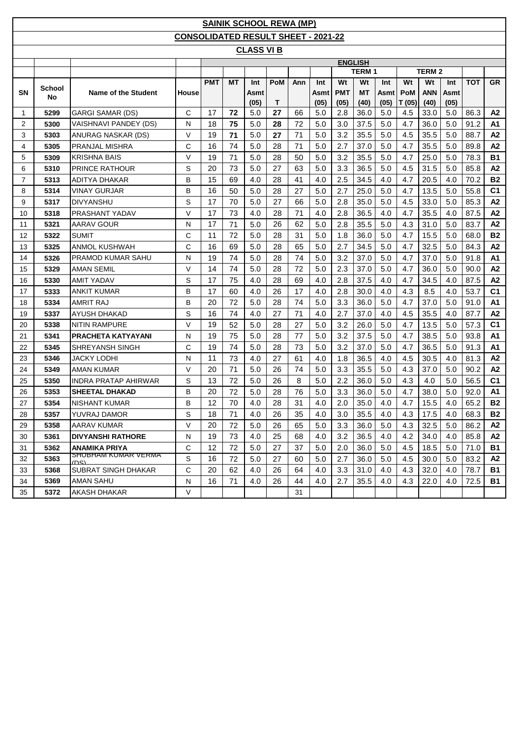|                |              |                                    |                                            |            |           |                   | <b>SAINIK SCHOOL REWA (MP)</b> |     |      |            |                |      |            |               |      |            |                |
|----------------|--------------|------------------------------------|--------------------------------------------|------------|-----------|-------------------|--------------------------------|-----|------|------------|----------------|------|------------|---------------|------|------------|----------------|
|                |              |                                    | <b>CONSOLIDATED RESULT SHEET - 2021-22</b> |            |           |                   |                                |     |      |            |                |      |            |               |      |            |                |
|                |              |                                    |                                            |            |           | <b>CLASS VI B</b> |                                |     |      |            |                |      |            |               |      |            |                |
|                |              |                                    |                                            |            |           |                   |                                |     |      |            | <b>ENGLISH</b> |      |            |               |      |            |                |
|                |              |                                    |                                            |            |           |                   |                                |     |      |            | <b>TERM1</b>   |      |            | <b>TERM 2</b> |      |            |                |
|                |              |                                    |                                            | <b>PMT</b> | <b>MT</b> | Int               | PoM                            | Ann | Int  | Wt         | Wt             | Int  | Wt         | Wt            | Int  | <b>TOT</b> | <b>GR</b>      |
| <b>SN</b>      | School<br>No | <b>Name of the Student</b>         | House                                      |            |           | Asmt              |                                |     | Asmt | <b>PMT</b> | <b>MT</b>      | Asmt | <b>PoM</b> | <b>ANN</b>    | Asmt |            |                |
|                |              |                                    |                                            |            |           | (05)              | T                              |     | (05) | (05)       | (40)           | (05) | T(05)      | (40)          | (05) |            |                |
| 1              | 5299         | <b>GARGI SAMAR (DS)</b>            | C                                          | 17         | 72        | 5.0               | 27                             | 66  | 5.0  | 2.8        | 36.0           | 5.0  | 4.5        | 33.0          | 5.0  | 86.3       | A <sub>2</sub> |
| 2              | 5300         | VAISHNAVI PANDEY (DS)              | N                                          | 18         | 75        | 5.0               | 28                             | 72  | 5.0  | 3.0        | 37.5           | 5.0  | 4.7        | 36.0          | 5.0  | 91.2       | А1             |
| 3              | 5303         | ANURAG NASKAR (DS)                 | V                                          | 19         | 71        | 5.0               | 27                             | 71  | 5.0  | 3.2        | 35.5           | 5.0  | 4.5        | 35.5          | 5.0  | 88.7       | A2             |
| 4              | 5305         | PRANJAL MISHRA                     | C                                          | 16         | 74        | 5.0               | 28                             | 71  | 5.0  | 2.7        | 37.0           | 5.0  | 4.7        | 35.5          | 5.0  | 89.8       | A2             |
| 5              | 5309         | <b>KRISHNA BAIS</b>                | $\vee$                                     | 19         | 71        | 5.0               | 28                             | 50  | 5.0  | 3.2        | 35.5           | 5.0  | 4.7        | 25.0          | 5.0  | 78.3       | <b>B1</b>      |
| 6              | 5310         | PRINCE RATHOUR                     | S                                          | 20         | 73        | 5.0               | 27                             | 63  | 5.0  | 3.3        | 36.5           | 5.0  | 4.5        | 31.5          | 5.0  | 85.8       | A <sub>2</sub> |
| $\overline{7}$ | 5313         | ADITYA DHAKAR                      | B                                          | 15         | 69        | 4.0               | 28                             | 41  | 4.0  | 2.5        | 34.5           | 4.0  | 4.7        | 20.5          | 4.0  | 70.2       | <b>B2</b>      |
| 8              | 5314         | <b>VINAY GURJAR</b>                | B                                          | 16         | 50        | 5.0               | 28                             | 27  | 5.0  | 2.7        | 25.0           | 5.0  | 4.7        | 13.5          | 5.0  | 55.8       | C <sub>1</sub> |
| 9              | 5317         | <b>DIVYANSHU</b>                   | S                                          | 17         | 70        | 5.0               | 27                             | 66  | 5.0  | 2.8        | 35.0           | 5.0  | 4.5        | 33.0          | 5.0  | 85.3       | A <sub>2</sub> |
| 10             | 5318         | PRASHANT YADAV                     | V                                          | 17         | 73        | 4.0               | 28                             | 71  | 4.0  | 2.8        | 36.5           | 4.0  | 4.7        | 35.5          | 4.0  | 87.5       | A <sub>2</sub> |
| 11             | 5321         | AARAV GOUR                         | N                                          | 17         | 71        | 5.0               | 26                             | 62  | 5.0  | 2.8        | 35.5           | 5.0  | 4.3        | 31.0          | 5.0  | 83.7       | A2             |
| 12             | 5322         | <b>SUMIT</b>                       | C                                          | 11         | 72        | 5.0               | 28                             | 31  | 5.0  | 1.8        | 36.0           | 5.0  | 4.7        | 15.5          | 5.0  | 68.0       | <b>B2</b>      |
| 13             | 5325         | ANMOL KUSHWAH                      | C                                          | 16         | 69        | 5.0               | 28                             | 65  | 5.0  | 2.7        | 34.5           | 5.0  | 4.7        | 32.5          | 5.0  | 84.3       | A <sub>2</sub> |
| 14             | 5326         | PRAMOD KUMAR SAHU                  | N                                          | 19         | 74        | 5.0               | 28                             | 74  | 5.0  | 3.2        | 37.0           | 5.0  | 4.7        | 37.0          | 5.0  | 91.8       | A1             |
| 15             | 5329         | AMAN SEMIL                         | V                                          | 14         | 74        | 5.0               | 28                             | 72  | 5.0  | 2.3        | 37.0           | 5.0  | 4.7        | 36.0          | 5.0  | 90.0       | A <sub>2</sub> |
| 16             | 5330         | <b>AMIT YADAV</b>                  | S                                          | 17         | 75        | 4.0               | 28                             | 69  | 4.0  | 2.8        | 37.5           | 4.0  | 4.7        | 34.5          | 4.0  | 87.5       | A <sub>2</sub> |
| 17             | 5333         | <b>ANKIT KUMAR</b>                 | B                                          | 17         | 60        | 4.0               | 26                             | 17  | 4.0  | 2.8        | 30.0           | 4.0  | 4.3        | 8.5           | 4.0  | 53.7       | C <sub>1</sub> |
| 18             | 5334         | <b>AMRIT RAJ</b>                   | B                                          | 20         | 72        | 5.0               | 28                             | 74  | 5.0  | 3.3        | 36.0           | 5.0  | 4.7        | 37.0          | 5.0  | 91.0       | A1             |
| 19             | 5337         | AYUSH DHAKAD                       | S                                          | 16         | 74        | 4.0               | 27                             | 71  | 4.0  | 2.7        | 37.0           | 4.0  | 4.5        | 35.5          | 4.0  | 87.7       | A2             |
| 20             | 5338         | <b>NITIN RAMPURE</b>               | V                                          | 19         | 52        | 5.0               | 28                             | 27  | 5.0  | 3.2        | 26.0           | 5.0  | 4.7        | 13.5          | 5.0  | 57.3       | C <sub>1</sub> |
| 21             | 5341         | <b>PRACHETA KATYAYANI</b>          | N                                          | 19         | 75        | 5.0               | 28                             | 77  | 5.0  | 3.2        | 37.5           | 5.0  | 4.7        | 38.5          | 5.0  | 93.8       | <b>A1</b>      |
| 22             | 5345         | SHREYANSH SINGH                    | C                                          | 19         | 74        | 5.0               | 28                             | 73  | 5.0  | 3.2        | 37.0           | 5.0  | 4.7        | 36.5          | 5.0  | 91.3       | A1             |
| 23             | 5346         | <b>JACKY LODHI</b>                 | N                                          | 11         | 73        | 4.0               | 27                             | 61  | 4.0  | 1.8        | 36.5           | 4.0  | 4.5        | 30.5          | 4.0  | 81.3       | A <sub>2</sub> |
| 24             | 5349         | <b>AMAN KUMAR</b>                  | V                                          | 20         | 71        | 5.0               | 26                             | 74  | 5.0  | 3.3        | 35.5           | 5.0  | 4.3        | 37.0          | 5.0  | 90.2       | A <sub>2</sub> |
| 25             | 5350         | INDRA PRATAP AHIRWAR               | S                                          | 13         | 72        | 5.0               | 26                             | 8   | 5.0  | 2.2        | 36.0           | 5.0  | 4.3        | 4.0           | 5.0  | 56.5       | C <sub>1</sub> |
| 26             | 5353         | <b>SHEETAL DHAKAD</b>              | B                                          | 20         | 72        | 5.0               | 28                             | 76  | 5.0  | 3.3        | 36.0           | 5.0  | 4.7        | 38.0          | 5.0  | 92.0       | A1             |
| 27             | 5354         | NISHANT KUMAR                      | B                                          | 12         | 70        | 4.0               | 28                             | 31  | 4.0  | 2.0        | 35.0           | 4.0  | 4.7        | 15.5          | 4.0  | 65.2       | <b>B2</b>      |
| 28             | 5357         | YUVRAJ DAMOR                       | S                                          | 18         | 71        | 4.0               | 26                             | 35  | 4.0  | 3.0        | 35.5           | 4.0  | 4.3        | 17.5          | 4.0  | 68.3       | <b>B2</b>      |
| 29             | 5358         | <b>AARAV KUMAR</b>                 | $\vee$                                     | 20         | 72        | 5.0               | 26                             | 65  | 5.0  | 3.3        | 36.0           | 5.0  | 4.3        | 32.5          | 5.0  | 86.2       | A2             |
| 30             | 5361         | <b>DIVYANSHI RATHORE</b>           | N                                          | 19         | 73        | 4.0               | 25                             | 68  | 4.0  | 3.2        | 36.5           | 4.0  | 4.2        | 34.0          | 4.0  | 85.8       | A2             |
| 31             | 5362         | ANAMIKA PRIYA                      | С                                          | 12         | 72        | 5.0               | 27                             | 37  | 5.0  | 2.0        | 36.0           | 5.0  | 4.5        | 18.5          | 5.0  | 71.0       | B1             |
| 32             | 5363         | <b>SHUBHAM KUMAR VERMA</b><br>ופחז | S                                          | 16         | 72        | 5.0               | 27                             | 60  | 5.0  | 2.7        | 36.0           | 5.0  | 4.5        | 30.0          | 5.0  | 83.2       | А2             |
| 33             | 5368         | <b>SUBRAT SINGH DHAKAR</b>         | C                                          | 20         | 62        | 4.0               | 26                             | 64  | 4.0  | 3.3        | 31.0           | 4.0  | 4.3        | 32.0          | 4.0  | 78.7       | <b>B1</b>      |
| 34             | 5369         | <b>AMAN SAHU</b>                   | N                                          | 16         | 71        | 4.0               | 26                             | 44  | 4.0  | 2.7        | 35.5           | 4.0  | 4.3        | 22.0          | 4.0  | 72.5       | <b>B1</b>      |
| 35             | 5372         | <b>AKASH DHAKAR</b>                | V                                          |            |           |                   |                                | 31  |      |            |                |      |            |               |      |            |                |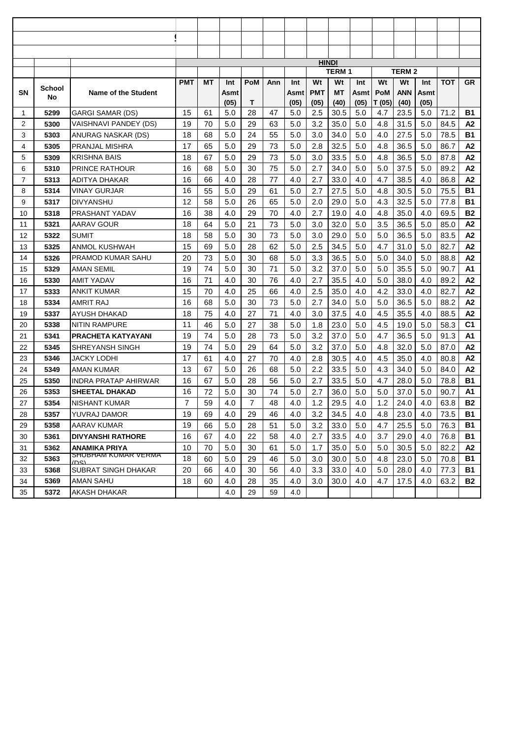|    |        |                              |                |    |             |                |     |             |            | <b>HINDI</b>       |             |        |                     |      |            |                |
|----|--------|------------------------------|----------------|----|-------------|----------------|-----|-------------|------------|--------------------|-------------|--------|---------------------|------|------------|----------------|
|    |        |                              | <b>PMT</b>     | МT |             | <b>PoM</b>     |     |             | Wt         | <b>TERM1</b><br>Wt |             | Wt     | <b>TERM 2</b><br>Wt | Int  | <b>TOT</b> | GR             |
| SN | School | Name of the Student          |                |    | Int<br>Asmt |                | Ann | Int<br>Asmt | <b>PMT</b> | МT                 | Int<br>Asmt | PoM    | <b>ANN</b>          | Asmt |            |                |
|    | No     |                              |                |    | (05)        | т              |     | (05)        | (05)       | (40)               | (05)        | T (05) | (40)                | (05) |            |                |
| 1  | 5299   | <b>GARGI SAMAR (DS)</b>      | 15             | 61 | 5.0         | 28             | 47  | 5.0         | 2.5        | 30.5               | 5.0         | 4.7    | 23.5                | 5.0  | 71.2       | <b>B1</b>      |
| 2  | 5300   | <b>VAISHNAVI PANDEY (DS)</b> | 19             | 70 | 5.0         | 29             | 63  | 5.0         | 3.2        | 35.0               | 5.0         | 4.8    | 31.5                | 5.0  | 84.5       | A2             |
| 3  | 5303   | ANURAG NASKAR (DS)           | 18             | 68 | 5.0         | 24             | 55  | 5.0         | 3.0        | 34.0               | 5.0         | 4.0    | 27.5                | 5.0  | 78.5       | <b>B1</b>      |
| 4  | 5305   | PRANJAL MISHRA               | 17             | 65 | 5.0         | 29             | 73  | 5.0         | 2.8        | 32.5               | 5.0         | 4.8    | 36.5                | 5.0  | 86.7       | A2             |
| 5  | 5309   | <b>KRISHNA BAIS</b>          | 18             | 67 | 5.0         | 29             | 73  | 5.0         | 3.0        | 33.5               | 5.0         | 4.8    | 36.5                | 5.0  | 87.8       | A2             |
| 6  | 5310   | <b>PRINCE RATHOUR</b>        | 16             | 68 | 5.0         | 30             | 75  | 5.0         | 2.7        | 34.0               | 5.0         | 5.0    | 37.5                | 5.0  | 89.2       | A2             |
| 7  | 5313   | ADITYA DHAKAR                | 16             | 66 | 4.0         | 28             | 77  | 4.0         | 2.7        | 33.0               | 4.0         | 4.7    | 38.5                | 4.0  | 86.8       | A2             |
| 8  | 5314   | VINAY GURJAR                 | 16             | 55 | 5.0         | 29             | 61  | 5.0         | 2.7        | 27.5               | 5.0         | 4.8    | 30.5                | 5.0  | 75.5       | <b>B1</b>      |
| 9  | 5317   | <b>DIVYANSHU</b>             | 12             | 58 | 5.0         | 26             | 65  | 5.0         | 2.0        | 29.0               | 5.0         | 4.3    | 32.5                | 5.0  | 77.8       | <b>B1</b>      |
| 10 | 5318   | PRASHANT YADAV               | 16             | 38 | 4.0         | 29             | 70  | 4.0         | 2.7        | 19.0               | 4.0         | 4.8    | 35.0                | 4.0  | 69.5       | <b>B2</b>      |
| 11 | 5321   | AARAV GOUR                   | 18             | 64 | 5.0         | 21             | 73  | 5.0         | 3.0        | 32.0               | 5.0         | 3.5    | 36.5                | 5.0  | 85.0       | A2             |
| 12 | 5322   | SUMIT                        | 18             | 58 | 5.0         | 30             | 73  | 5.0         | 3.0        | 29.0               | 5.0         | 5.0    | 36.5                | 5.0  | 83.5       | A2             |
| 13 | 5325   | ANMOL KUSHWAH                | 15             | 69 | 5.0         | 28             | 62  | 5.0         | 2.5        | 34.5               | 5.0         | 4.7    | 31.0                | 5.0  | 82.7       | A2             |
| 14 | 5326   | <b>PRAMOD KUMAR SAHU</b>     | 20             | 73 | 5.0         | 30             | 68  | 5.0         | 3.3        | 36.5               | 5.0         | 5.0    | 34.0                | 5.0  | 88.8       | A2             |
| 15 | 5329   | AMAN SEMIL                   | 19             | 74 | 5.0         | 30             | 71  | 5.0         | 3.2        | 37.0               | 5.0         | 5.0    | 35.5                | 5.0  | 90.7       | A <sub>1</sub> |
| 16 | 5330   | AMIT YADAV                   | 16             | 71 | 4.0         | 30             | 76  | 4.0         | 2.7        | 35.5               | 4.0         | 5.0    | 38.0                | 4.0  | 89.2       | A2             |
| 17 | 5333   | <b>ANKIT KUMAR</b>           | 15             | 70 | 4.0         | 25             | 66  | 4.0         | 2.5        | 35.0               | 4.0         | 4.2    | 33.0                | 4.0  | 82.7       | A2             |
| 18 | 5334   | AMRIT RAJ                    | 16             | 68 | 5.0         | 30             | 73  | 5.0         | 2.7        | 34.0               | 5.0         | 5.0    | 36.5                | 5.0  | 88.2       | A2             |
| 19 | 5337   | AYUSH DHAKAD                 | 18             | 75 | 4.0         | 27             | 71  | 4.0         | 3.0        | 37.5               | 4.0         | 4.5    | 35.5                | 4.0  | 88.5       | A2             |
| 20 | 5338   | NITIN RAMPURE                | 11             | 46 | 5.0         | 27             | 38  | 5.0         | 1.8        | 23.0               | 5.0         | 4.5    | 19.0                | 5.0  | 58.3       | C <sub>1</sub> |
| 21 | 5341   | <b>PRACHETA KATYAYANI</b>    | 19             | 74 | 5.0         | 28             | 73  | 5.0         | 3.2        | 37.0               | 5.0         | 4.7    | 36.5                | 5.0  | 91.3       | A1             |
| 22 | 5345   | <b>SHREYANSH SINGH</b>       | 19             | 74 | 5.0         | 29             | 64  | 5.0         | 3.2        | 37.0               | 5.0         | 4.8    | 32.0                | 5.0  | 87.0       | A2             |
| 23 | 5346   | JACKY LODHI                  | 17             | 61 | 4.0         | 27             | 70  | 4.0         | 2.8        | 30.5               | 4.0         | 4.5    | 35.0                | 4.0  | 80.8       | A2             |
| 24 | 5349   | <b>AMAN KUMAR</b>            | 13             | 67 | 5.0         | 26             | 68  | 5.0         | 2.2        | 33.5               | 5.0         | 4.3    | 34.0                | 5.0  | 84.0       | A2             |
| 25 | 5350   | <b>INDRA PRATAP AHIRWAR</b>  | 16             | 67 | 5.0         | 28             | 56  | 5.0         | 2.7        | 33.5               | 5.0         | 4.7    | 28.0                | 5.0  | 78.8       | <b>B1</b>      |
| 26 | 5353   | <b>SHEETAL DHAKAD</b>        | 16             | 72 | 5.0         | 30             | 74  | 5.0         | 2.7        | 36.0               | 5.0         | 5.0    | 37.0                | 5.0  | 90.7       | A1             |
| 27 | 5354   | NISHANT KUMAR                | $\overline{7}$ | 59 | 4.0         | $\overline{7}$ | 48  | 4.0         | 1.2        | 29.5               | 4.0         | 1.2    | 24.0                | 4.0  | 63.8       | <b>B2</b>      |
| 28 | 5357   | YUVRAJ DAMOR                 | 19             | 69 | 4.0         | 29             | 46  | 4.0         | 3.2        | 34.5               | 4.0         | 4.8    | 23.0                | 4.0  | 73.5       | <b>B1</b>      |
| 29 | 5358   | AARAV KUMAR                  | 19             | 66 | 5.0         | 28             | 51  | 5.0         | 3.2        | 33.0               | 5.0         | 4.7    | 25.5                | 5.0  | 76.3       | B1             |
| 30 | 5361   | <b>DIVYANSHI RATHORE</b>     | 16             | 67 | 4.0         | 22             | 58  | 4.0         | 2.7        | 33.5               | 4.0         | 3.7    | 29.0                | 4.0  | 76.8       | <b>B1</b>      |
| 31 | 5362   | <b>ANAMIKA PRIYA</b>         | 10             | 70 | 5.0         | 30             | 61  | 5.0         | 1.7        | 35.0               | 5.0         | 5.0    | 30.5                | 5.0  | 82.2       | А2             |
| 32 | 5363   | SHUBHAM KUMAR VERMA<br>נפח)  | 18             | 60 | 5.0         | 29             | 46  | 5.0         | 3.0        | 30.0               | 5.0         | 4.8    | 23.0                | 5.0  | 70.8       | <b>B1</b>      |
| 33 | 5368   | SUBRAT SINGH DHAKAR          | 20             | 66 | 4.0         | 30             | 56  | 4.0         | 3.3        | 33.0               | 4.0         | 5.0    | 28.0                | 4.0  | 77.3       | B1             |
| 34 | 5369   | AMAN SAHU                    | 18             | 60 | 4.0         | 28             | 35  | 4.0         | 3.0        | 30.0               | 4.0         | 4.7    | 17.5                | 4.0  | 63.2       | <b>B2</b>      |
| 35 | 5372   | AKASH DHAKAR                 |                |    | 4.0         | 29             | 59  | 4.0         |            |                    |             |        |                     |      |            |                |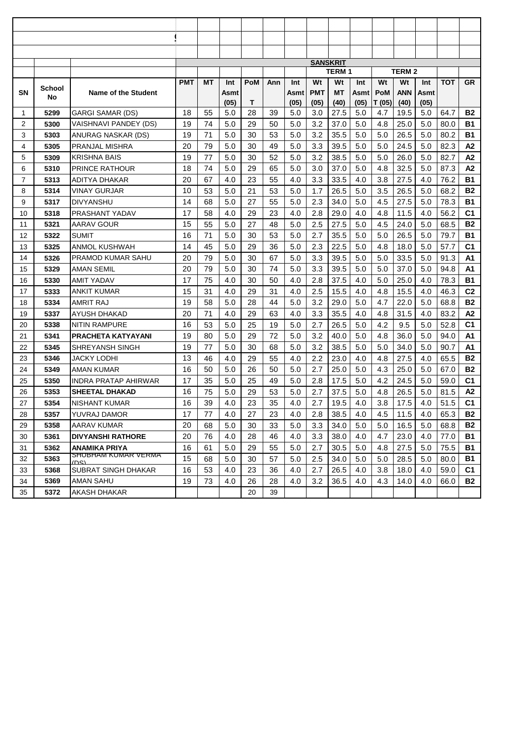|                |        |                             |            |    |             |            |     |             | <b>SANSKRIT</b> |                    |             |        |                     |             |            |                |
|----------------|--------|-----------------------------|------------|----|-------------|------------|-----|-------------|-----------------|--------------------|-------------|--------|---------------------|-------------|------------|----------------|
|                |        |                             |            |    |             |            |     |             | Wt              | <b>TERM1</b><br>Wt |             | Wt     | <b>TERM 2</b><br>Wt |             | <b>TOT</b> | <b>GR</b>      |
| SN             | School | Name of the Student         | <b>PMT</b> | МT | Int<br>Asmt | <b>PoM</b> | Ann | Int<br>Asmt | <b>PMT</b>      | <b>MT</b>          | Int<br>Asmt | PoM    | <b>ANN</b>          | Int<br>Asmt |            |                |
|                | No     |                             |            |    | (05)        | т          |     | (05)        | (05)            | (40)               | (05)        | T (05) | (40)                | (05)        |            |                |
| 1              | 5299   | <b>GARGI SAMAR (DS)</b>     | 18         | 55 | 5.0         | 28         | 39  | 5.0         | 3.0             | 27.5               | 5.0         | 4.7    | 19.5                | 5.0         | 64.7       | <b>B2</b>      |
| 2              | 5300   | VAISHNAVI PANDEY (DS)       | 19         | 74 | 5.0         | 29         | 50  | 5.0         | 3.2             | 37.0               | 5.0         | 4.8    | 25.0                | 5.0         | 80.0       | <b>B1</b>      |
| 3              | 5303   | ANURAG NASKAR (DS)          | 19         | 71 | 5.0         | 30         | 53  | 5.0         | 3.2             | 35.5               | 5.0         | 5.0    | 26.5                | 5.0         | 80.2       | <b>B1</b>      |
| 4              | 5305   | PRANJAL MISHRA              | 20         | 79 | 5.0         | 30         | 49  | 5.0         | 3.3             | 39.5               | 5.0         | 5.0    | 24.5                | 5.0         | 82.3       | A2             |
| 5              | 5309   | <b>KRISHNA BAIS</b>         | 19         | 77 | 5.0         | 30         | 52  | 5.0         | 3.2             | 38.5               | 5.0         | 5.0    | 26.0                | 5.0         | 82.7       | A2             |
| 6              | 5310   | PRINCE RATHOUR              | 18         | 74 | 5.0         | 29         | 65  | 5.0         | 3.0             | 37.0               | 5.0         | 4.8    | 32.5                | 5.0         | 87.3       | A2             |
| $\overline{7}$ | 5313   | ADITYA DHAKAR               | 20         | 67 | 4.0         | 23         | 55  | 4.0         | 3.3             | 33.5               | 4.0         | 3.8    | 27.5                | 4.0         | 76.2       | <b>B1</b>      |
| 8              | 5314   | <b>VINAY GURJAR</b>         | 10         | 53 | 5.0         | 21         | 53  | 5.0         | 1.7             | 26.5               | 5.0         | 3.5    | 26.5                | 5.0         | 68.2       | <b>B2</b>      |
| 9              | 5317   | <b>DIVYANSHU</b>            | 14         | 68 | 5.0         | 27         | 55  | 5.0         | 2.3             | 34.0               | 5.0         | 4.5    | 27.5                | 5.0         | 78.3       | <b>B1</b>      |
| 10             | 5318   | PRASHANT YADAV              | 17         | 58 | 4.0         | 29         | 23  | 4.0         | 2.8             | 29.0               | 4.0         | 4.8    | 11.5                | 4.0         | 56.2       | C <sub>1</sub> |
| 11             | 5321   | AARAV GOUR                  | 15         | 55 | 5.0         | 27         | 48  | 5.0         | 2.5             | 27.5               | 5.0         | 4.5    | 24.0                | 5.0         | 68.5       | <b>B2</b>      |
| 12             | 5322   | SUMIT                       | 16         | 71 | 5.0         | 30         | 53  | 5.0         | 2.7             | 35.5               | 5.0         | 5.0    | 26.5                | 5.0         | 79.7       | <b>B1</b>      |
| 13             | 5325   | ANMOL KUSHWAH               | 14         | 45 | 5.0         | 29         | 36  | 5.0         | 2.3             | 22.5               | 5.0         | 4.8    | 18.0                | 5.0         | 57.7       | C <sub>1</sub> |
| 14             | 5326   | <b>PRAMOD KUMAR SAHU</b>    | 20         | 79 | 5.0         | 30         | 67  | 5.0         | 3.3             | 39.5               | 5.0         | 5.0    | 33.5                | 5.0         | 91.3       | A1             |
| 15             | 5329   | <b>AMAN SEMIL</b>           | 20         | 79 | 5.0         | 30         | 74  | 5.0         | 3.3             | 39.5               | 5.0         | 5.0    | 37.0                | 5.0         | 94.8       | A <sub>1</sub> |
| 16             | 5330   | <b>AMIT YADAV</b>           | 17         | 75 | 4.0         | 30         | 50  | 4.0         | 2.8             | 37.5               | 4.0         | 5.0    | 25.0                | 4.0         | 78.3       | <b>B1</b>      |
| 17             | 5333   | <b>ANKIT KUMAR</b>          | 15         | 31 | 4.0         | 29         | 31  | 4.0         | 2.5             | 15.5               | 4.0         | 4.8    | 15.5                | 4.0         | 46.3       | C <sub>2</sub> |
| 18             | 5334   | AMRIT RAJ                   | 19         | 58 | 5.0         | 28         | 44  | 5.0         | 3.2             | 29.0               | 5.0         | 4.7    | 22.0                | 5.0         | 68.8       | <b>B2</b>      |
| 19             | 5337   | AYUSH DHAKAD                | 20         | 71 | 4.0         | 29         | 63  | 4.0         | 3.3             | 35.5               | 4.0         | 4.8    | 31.5                | 4.0         | 83.2       | A2             |
| 20             | 5338   | <b>NITIN RAMPURE</b>        | 16         | 53 | 5.0         | 25         | 19  | 5.0         | 2.7             | 26.5               | 5.0         | 4.2    | 9.5                 | 5.0         | 52.8       | C <sub>1</sub> |
| 21             | 5341   | <b>PRACHETA KATYAYANI</b>   | 19         | 80 | 5.0         | 29         | 72  | 5.0         | 3.2             | 40.0               | 5.0         | 4.8    | 36.0                | 5.0         | 94.0       | A1             |
| 22             | 5345   | <b>SHREYANSH SINGH</b>      | 19         | 77 | 5.0         | 30         | 68  | 5.0         | 3.2             | 38.5               | 5.0         | 5.0    | 34.0                | 5.0         | 90.7       | A1             |
| 23             | 5346   | <b>JACKY LODHI</b>          | 13         | 46 | 4.0         | 29         | 55  | 4.0         | 2.2             | 23.0               | 4.0         | 4.8    | 27.5                | 4.0         | 65.5       | <b>B2</b>      |
| 24             | 5349   | <b>AMAN KUMAR</b>           | 16         | 50 | 5.0         | 26         | 50  | 5.0         | 2.7             | 25.0               | 5.0         | 4.3    | 25.0                | 5.0         | 67.0       | <b>B2</b>      |
| 25             | 5350   | <b>INDRA PRATAP AHIRWAR</b> | 17         | 35 | 5.0         | 25         | 49  | 5.0         | 2.8             | 17.5               | 5.0         | 4.2    | 24.5                | 5.0         | 59.0       | C <sub>1</sub> |
| 26             | 5353   | <b>SHEETAL DHAKAD</b>       | 16         | 75 | 5.0         | 29         | 53  | 5.0         | 2.7             | 37.5               | 5.0         | 4.8    | 26.5                | 5.0         | 81.5       | A2             |
| 27             | 5354   | NISHANT KUMAR               | 16         | 39 | 4.0         | 23         | 35  | 4.0         | 2.7             | 19.5               | 4.0         | 3.8    | 17.5                | 4.0         | 51.5       | C <sub>1</sub> |
| 28             | 5357   | YUVRAJ DAMOR                | 17         | 77 | 4.0         | 27         | 23  | 4.0         | 2.8             | 38.5               | 4.0         | 4.5    | 11.5                | 4.0         | 65.3       | <b>B2</b>      |
| 29             | 5358   | AARAV KUMAR                 | 20         | 68 | 5.0         | 30         | 33  | 5.0         | 3.3             | 34.0               | 5.0         | 5.0    | 16.5                | 5.0         | 68.8       | <b>B2</b>      |
| 30             | 5361   | <b>DIVYANSHI RATHORE</b>    | 20         | 76 | 4.0         | 28         | 46  | 4.0         | 3.3             | 38.0               | 4.0         | 4.7    | 23.0                | 4.0         | 77.0       | B1             |
| 31             | 5362   | ANAMIKA PRIYA               | 16         | 61 | 5.0         | 29         | 55  | 5.0         | 2.7             | 30.5               | 5.0         | 4.8    | 27.5                | 5.0         | 75.5       | B1             |
| 32             | 5363   | SHUBHAM KUMAR VERMA<br>ופחו | 15         | 68 | 5.0         | 30         | 57  | 5.0         | 2.5             | 34.0               | 5.0         | 5.0    | 28.5                | 5.0         | 80.0       | B1             |
| 33             | 5368   | SUBRAT SINGH DHAKAR         | 16         | 53 | 4.0         | 23         | 36  | 4.0         | 2.7             | 26.5               | 4.0         | 3.8    | 18.0                | 4.0         | 59.0       | C <sub>1</sub> |
| 34             | 5369   | AMAN SAHU                   | 19         | 73 | 4.0         | 26         | 28  | 4.0         | 3.2             | 36.5               | 4.0         | 4.3    | 14.0                | 4.0         | 66.0       | <b>B2</b>      |
| 35             | 5372   | AKASH DHAKAR                |            |    |             | 20         | 39  |             |                 |                    |             |        |                     |             |            |                |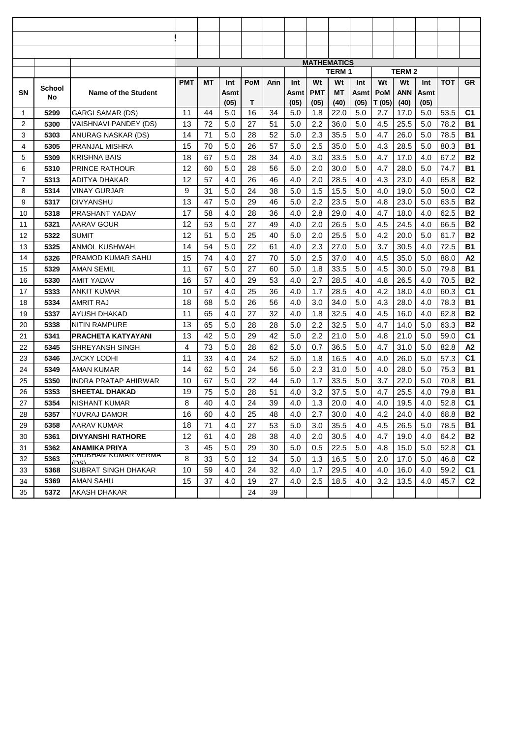|                |        |                             |            |    |      |            |     |      | <b>MATHEMATICS</b> | <b>TERM1</b> |      |        | <b>TERM 2</b> |      |            |                |
|----------------|--------|-----------------------------|------------|----|------|------------|-----|------|--------------------|--------------|------|--------|---------------|------|------------|----------------|
|                |        |                             | <b>PMT</b> | МT | Int  | <b>PoM</b> | Ann | Int  | Wt                 | Wt           | Int  | Wt     | Wt            | Int  | <b>TOT</b> | <b>GR</b>      |
| SN             | School | Name of the Student         |            |    | Asmt |            |     | Asmt | <b>PMT</b>         | <b>MT</b>    | Asmt | PoM    | <b>ANN</b>    | Asmt |            |                |
|                | No     |                             |            |    | (05) | т          |     | (05) | (05)               | (40)         | (05) | T (05) | (40)          | (05) |            |                |
| 1              | 5299   | <b>GARGI SAMAR (DS)</b>     | 11         | 44 | 5.0  | 16         | 34  | 5.0  | 1.8                | 22.0         | 5.0  | 2.7    | 17.0          | 5.0  | 53.5       | C <sub>1</sub> |
| 2              | 5300   | VAISHNAVI PANDEY (DS)       | 13         | 72 | 5.0  | 27         | 51  | 5.0  | 2.2                | 36.0         | 5.0  | 4.5    | 25.5          | 5.0  | 78.2       | <b>B1</b>      |
| 3              | 5303   | ANURAG NASKAR (DS)          | 14         | 71 | 5.0  | 28         | 52  | 5.0  | 2.3                | 35.5         | 5.0  | 4.7    | 26.0          | 5.0  | 78.5       | <b>B1</b>      |
| 4              | 5305   | PRANJAL MISHRA              | 15         | 70 | 5.0  | 26         | 57  | 5.0  | 2.5                | 35.0         | 5.0  | 4.3    | 28.5          | 5.0  | 80.3       | <b>B1</b>      |
| 5              | 5309   | <b>KRISHNA BAIS</b>         | 18         | 67 | 5.0  | 28         | 34  | 4.0  | 3.0                | 33.5         | 5.0  | 4.7    | 17.0          | 4.0  | 67.2       | <b>B2</b>      |
| 6              | 5310   | PRINCE RATHOUR              | 12         | 60 | 5.0  | 28         | 56  | 5.0  | 2.0                | 30.0         | 5.0  | 4.7    | 28.0          | 5.0  | 74.7       | <b>B1</b>      |
| $\overline{7}$ | 5313   | ADITYA DHAKAR               | 12         | 57 | 4.0  | 26         | 46  | 4.0  | 2.0                | 28.5         | 4.0  | 4.3    | 23.0          | 4.0  | 65.8       | <b>B2</b>      |
| 8              | 5314   | <b>VINAY GURJAR</b>         | 9          | 31 | 5.0  | 24         | 38  | 5.0  | 1.5                | 15.5         | 5.0  | 4.0    | 19.0          | 5.0  | 50.0       | C <sub>2</sub> |
| 9              | 5317   | <b>DIVYANSHU</b>            | 13         | 47 | 5.0  | 29         | 46  | 5.0  | 2.2                | 23.5         | 5.0  | 4.8    | 23.0          | 5.0  | 63.5       | <b>B2</b>      |
| 10             | 5318   | PRASHANT YADAV              | 17         | 58 | 4.0  | 28         | 36  | 4.0  | 2.8                | 29.0         | 4.0  | 4.7    | 18.0          | 4.0  | 62.5       | <b>B2</b>      |
| 11             | 5321   | AARAV GOUR                  | 12         | 53 | 5.0  | 27         | 49  | 4.0  | 2.0                | 26.5         | 5.0  | 4.5    | 24.5          | 4.0  | 66.5       | <b>B2</b>      |
| 12             | 5322   | SUMIT                       | 12         | 51 | 5.0  | 25         | 40  | 5.0  | 2.0                | 25.5         | 5.0  | 4.2    | 20.0          | 5.0  | 61.7       | <b>B2</b>      |
| 13             | 5325   | ANMOL KUSHWAH               | 14         | 54 | 5.0  | 22         | 61  | 4.0  | 2.3                | 27.0         | 5.0  | 3.7    | 30.5          | 4.0  | 72.5       | <b>B1</b>      |
| 14             | 5326   | PRAMOD KUMAR SAHU           | 15         | 74 | 4.0  | 27         | 70  | 5.0  | 2.5                | 37.0         | 4.0  | 4.5    | 35.0          | 5.0  | 88.0       | A2             |
| 15             | 5329   | <b>AMAN SEMIL</b>           | 11         | 67 | 5.0  | 27         | 60  | 5.0  | 1.8                | 33.5         | 5.0  | 4.5    | 30.0          | 5.0  | 79.8       | <b>B1</b>      |
| 16             | 5330   | <b>AMIT YADAV</b>           | 16         | 57 | 4.0  | 29         | 53  | 4.0  | 2.7                | 28.5         | 4.0  | 4.8    | 26.5          | 4.0  | 70.5       | <b>B2</b>      |
| 17             | 5333   | <b>ANKIT KUMAR</b>          | 10         | 57 | 4.0  | 25         | 36  | 4.0  | 1.7                | 28.5         | 4.0  | 4.2    | 18.0          | 4.0  | 60.3       | C <sub>1</sub> |
| 18             | 5334   | <b>AMRIT RAJ</b>            | 18         | 68 | 5.0  | 26         | 56  | 4.0  | 3.0                | 34.0         | 5.0  | 4.3    | 28.0          | 4.0  | 78.3       | <b>B1</b>      |
| 19             | 5337   | AYUSH DHAKAD                | 11         | 65 | 4.0  | 27         | 32  | 4.0  | 1.8                | 32.5         | 4.0  | 4.5    | 16.0          | 4.0  | 62.8       | <b>B2</b>      |
| 20             | 5338   | <b>NITIN RAMPURE</b>        | 13         | 65 | 5.0  | 28         | 28  | 5.0  | 2.2                | 32.5         | 5.0  | 4.7    | 14.0          | 5.0  | 63.3       | <b>B2</b>      |
| 21             | 5341   | <b>PRACHETA KATYAYANI</b>   | 13         | 42 | 5.0  | 29         | 42  | 5.0  | 2.2                | 21.0         | 5.0  | 4.8    | 21.0          | 5.0  | 59.0       | C <sub>1</sub> |
| 22             | 5345   | <b>SHREYANSH SINGH</b>      | 4          | 73 | 5.0  | 28         | 62  | 5.0  | 0.7                | 36.5         | 5.0  | 4.7    | 31.0          | 5.0  | 82.8       | A2             |
| 23             | 5346   | JACKY LODHI                 | 11         | 33 | 4.0  | 24         | 52  | 5.0  | 1.8                | 16.5         | 4.0  | 4.0    | 26.0          | 5.0  | 57.3       | C1             |
| 24             | 5349   | <b>AMAN KUMAR</b>           | 14         | 62 | 5.0  | 24         | 56  | 5.0  | 2.3                | 31.0         | 5.0  | 4.0    | 28.0          | 5.0  | 75.3       | <b>B1</b>      |
| 25             | 5350   | <b>INDRA PRATAP AHIRWAR</b> | 10         | 67 | 5.0  | 22         | 44  | 5.0  | 1.7                | 33.5         | 5.0  | 3.7    | 22.0          | 5.0  | 70.8       | <b>B1</b>      |
| 26             | 5353   | <b>SHEETAL DHAKAD</b>       | 19         | 75 | 5.0  | 28         | 51  | 4.0  | 3.2                | 37.5         | 5.0  | 4.7    | 25.5          | 4.0  | 79.8       | <b>B1</b>      |
| 27             | 5354   | NISHANT KUMAR               | 8          | 40 | 4.0  | 24         | 39  | 4.0  | 1.3                | 20.0         | 4.0  | 4.0    | 19.5          | 4.0  | 52.8       | C <sub>1</sub> |
| 28             | 5357   | YUVRAJ DAMOR                | 16         | 60 | 4.0  | 25         | 48  | 4.0  | 2.7                | 30.0         | 4.0  | 4.2    | 24.0          | 4.0  | 68.8       | B2             |
| 29             | 5358   | AARAV KUMAR                 | 18         | 71 | 4.0  | 27         | 53  | 5.0  | 3.0                | 35.5         | 4.0  | 4.5    | 26.5          | 5.0  | 78.5       | B1             |
| 30             | 5361   | <b>DIVYANSHI RATHORE</b>    | 12         | 61 | 4.0  | 28         | 38  | 4.0  | 2.0                | 30.5         | 4.0  | 4.7    | 19.0          | 4.0  | 64.2       | <b>B2</b>      |
| 31             | 5362   | ANAMIKA PRIYA               | 3          | 45 | 5.0  | 29         | 30  | 5.0  | 0.5                | 22.5         | 5.0  | 4.8    | 15.0          | 5.0  | 52.8       | C1             |
| 32             | 5363   | SHUBHAM KUMAR VERMA<br>ופחו | 8          | 33 | 5.0  | 12         | 34  | 5.0  | 1.3                | 16.5         | 5.0  | 2.0    | 17.0          | 5.0  | 46.8       | C <sub>2</sub> |
| 33             | 5368   | SUBRAT SINGH DHAKAR         | 10         | 59 | 4.0  | 24         | 32  | 4.0  | 1.7                | 29.5         | 4.0  | 4.0    | 16.0          | 4.0  | 59.2       | C <sub>1</sub> |
| 34             | 5369   | AMAN SAHU                   | 15         | 37 | 4.0  | 19         | 27  | 4.0  | 2.5                | 18.5         | 4.0  | 3.2    | 13.5          | 4.0  | 45.7       | C <sub>2</sub> |
| 35             | 5372   | AKASH DHAKAR                |            |    |      | 24         | 39  |      |                    |              |      |        |               |      |            |                |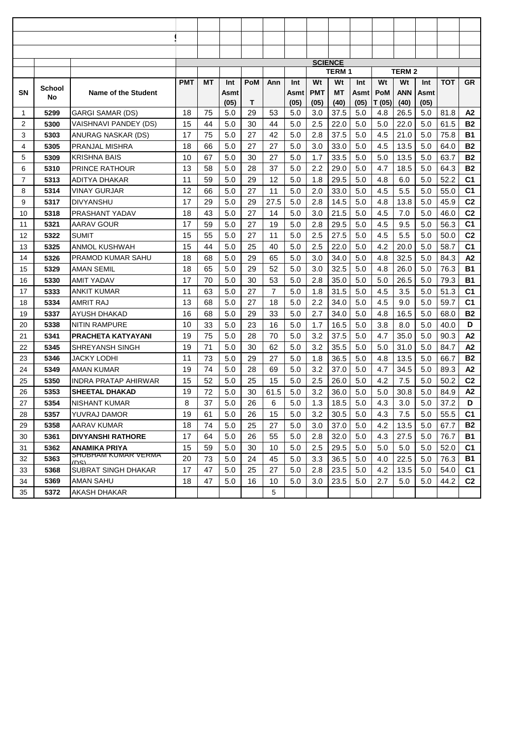|    |        |                                             |            |    |             |            |                |             |            | <b>SCIENCE</b>     |             |        |                     |      |            |                |
|----|--------|---------------------------------------------|------------|----|-------------|------------|----------------|-------------|------------|--------------------|-------------|--------|---------------------|------|------------|----------------|
|    |        |                                             | <b>PMT</b> | MT |             | <b>PoM</b> |                |             | Wt         | <b>TERM1</b><br>Wt |             | Wt     | <b>TERM 2</b><br>Wt | Int  | <b>TOT</b> | GR             |
| SN | School | Name of the Student                         |            |    | Int<br>Asmt |            | Ann            | Int<br>Asmt | <b>PMT</b> | <b>MT</b>          | Int<br>Asmt | PoM    | <b>ANN</b>          | Asmt |            |                |
|    | No     |                                             |            |    | (05)        | т          |                | (05)        | (05)       | (40)               | (05)        | T (05) | (40)                | (05) |            |                |
| 1  | 5299   | <b>GARGI SAMAR (DS)</b>                     | 18         | 75 | 5.0         | 29         | 53             | 5.0         | 3.0        | 37.5               | 5.0         | 4.8    | 26.5                | 5.0  | 81.8       | A2             |
| 2  | 5300   | VAISHNAVI PANDEY (DS)                       | 15         | 44 | 5.0         | 30         | 44             | 5.0         | 2.5        | 22.0               | 5.0         | 5.0    | 22.0                | 5.0  | 61.5       | <b>B2</b>      |
| 3  | 5303   | ANURAG NASKAR (DS)                          | 17         | 75 | 5.0         | 27         | 42             | 5.0         | 2.8        | 37.5               | 5.0         | 4.5    | 21.0                | 5.0  | 75.8       | <b>B1</b>      |
| 4  | 5305   | PRANJAL MISHRA                              | 18         | 66 | 5.0         | 27         | 27             | 5.0         | 3.0        | 33.0               | 5.0         | 4.5    | 13.5                | 5.0  | 64.0       | <b>B2</b>      |
| 5  | 5309   | <b>KRISHNA BAIS</b>                         | 10         | 67 | 5.0         | 30         | 27             | 5.0         | 1.7        | 33.5               | 5.0         | 5.0    | 13.5                | 5.0  | 63.7       | <b>B2</b>      |
| 6  | 5310   | <b>PRINCE RATHOUR</b>                       | 13         | 58 | 5.0         | 28         | 37             | 5.0         | 2.2        | 29.0               | 5.0         | 4.7    | 18.5                | 5.0  | 64.3       | <b>B2</b>      |
| 7  | 5313   | ADITYA DHAKAR                               | 11         | 59 | 5.0         | 29         | 12             | 5.0         | 1.8        | 29.5               | 5.0         | 4.8    | 6.0                 | 5.0  | 52.2       | C <sub>1</sub> |
| 8  | 5314   | VINAY GURJAR                                | 12         | 66 | 5.0         | 27         | 11             | 5.0         | 2.0        | 33.0               | 5.0         | 4.5    | 5.5                 | 5.0  | 55.0       | C <sub>1</sub> |
| 9  | 5317   | <b>DIVYANSHU</b>                            | 17         | 29 | 5.0         | 29         | 27.5           | 5.0         | 2.8        | 14.5               | 5.0         | 4.8    | 13.8                | 5.0  | 45.9       | C <sub>2</sub> |
| 10 | 5318   | PRASHANT YADAV                              | 18         | 43 | 5.0         | 27         | 14             | 5.0         | 3.0        | 21.5               | 5.0         | 4.5    | 7.0                 | 5.0  | 46.0       | C <sub>2</sub> |
| 11 | 5321   | AARAV GOUR                                  | 17         | 59 | 5.0         | 27         | 19             | 5.0         | 2.8        | 29.5               | 5.0         | 4.5    | 9.5                 | 5.0  | 56.3       | C <sub>1</sub> |
| 12 | 5322   | SUMIT                                       | 15         | 55 | 5.0         | 27         | 11             | 5.0         | 2.5        | 27.5               | 5.0         | 4.5    | 5.5                 | 5.0  | 50.0       | C <sub>2</sub> |
| 13 | 5325   | ANMOL KUSHWAH                               | 15         | 44 | 5.0         | 25         | 40             | 5.0         | 2.5        | 22.0               | 5.0         | 4.2    | 20.0                | 5.0  | 58.7       | C <sub>1</sub> |
| 14 | 5326   | PRAMOD KUMAR SAHU                           | 18         | 68 | 5.0         | 29         | 65             | 5.0         | 3.0        | 34.0               | 5.0         | 4.8    | 32.5                | 5.0  | 84.3       | A2             |
| 15 | 5329   | AMAN SEMIL                                  | 18         | 65 | 5.0         | 29         | 52             | 5.0         | 3.0        | 32.5               | 5.0         | 4.8    | 26.0                | 5.0  | 76.3       | <b>B1</b>      |
| 16 | 5330   | AMIT YADAV                                  | 17         | 70 | 5.0         | 30         | 53             | 5.0         | 2.8        | 35.0               | 5.0         | 5.0    | 26.5                | 5.0  | 79.3       | <b>B1</b>      |
| 17 | 5333   | <b>ANKIT KUMAR</b>                          | 11         | 63 | 5.0         | 27         | $\overline{7}$ | 5.0         | 1.8        | 31.5               | 5.0         | 4.5    | 3.5                 | 5.0  | 51.3       | C <sub>1</sub> |
| 18 | 5334   | AMRIT RAJ                                   | 13         | 68 | 5.0         | 27         | 18             | 5.0         | 2.2        | 34.0               | 5.0         | 4.5    | 9.0                 | 5.0  | 59.7       | C1             |
| 19 | 5337   | AYUSH DHAKAD                                | 16         | 68 | 5.0         | 29         | 33             | 5.0         | 2.7        | 34.0               | 5.0         | 4.8    | 16.5                | 5.0  | 68.0       | <b>B2</b>      |
| 20 | 5338   | NITIN RAMPURE                               | 10         | 33 | 5.0         | 23         | 16             | 5.0         | 1.7        | 16.5               | 5.0         | 3.8    | 8.0                 | 5.0  | 40.0       | D              |
| 21 | 5341   | <b>PRACHETA KATYAYANI</b>                   | 19         | 75 | 5.0         | 28         | 70             | 5.0         | 3.2        | 37.5               | 5.0         | 4.7    | 35.0                | 5.0  | 90.3       | A2             |
| 22 | 5345   | <b>SHREYANSH SINGH</b>                      | 19         | 71 | 5.0         | 30         | 62             | 5.0         | 3.2        | 35.5               | 5.0         | 5.0    | 31.0                | 5.0  | 84.7       | A2             |
| 23 | 5346   | JACKY LODHI                                 | 11         | 73 | 5.0         | 29         | 27             | 5.0         | 1.8        | 36.5               | 5.0         | 4.8    | 13.5                | 5.0  | 66.7       | <b>B2</b>      |
| 24 | 5349   | <b>AMAN KUMAR</b>                           | 19         | 74 | 5.0         | 28         | 69             | 5.0         | 3.2        | 37.0               | 5.0         | 4.7    | 34.5                | 5.0  | 89.3       | A2             |
| 25 | 5350   | <b>INDRA PRATAP AHIRWAR</b>                 | 15         | 52 | 5.0         | 25         | 15             | 5.0         | 2.5        | 26.0               | 5.0         | 4.2    | 7.5                 | 5.0  | 50.2       | C <sub>2</sub> |
| 26 | 5353   | <b>SHEETAL DHAKAD</b>                       | 19         | 72 | 5.0         | 30         | 61.5           | 5.0         | 3.2        | 36.0               | 5.0         | 5.0    | 30.8                | 5.0  | 84.9       | A <sub>2</sub> |
| 27 | 5354   | NISHANT KUMAR                               | 8          | 37 | 5.0         | 26         | 6              | 5.0         | 1.3        | 18.5               | 5.0         | 4.3    | 3.0                 | 5.0  | 37.2       | D              |
| 28 | 5357   | YUVRAJ DAMOR                                | 19         | 61 | 5.0         | 26         | 15             | 5.0         | 3.2        | 30.5               | 5.0         | 4.3    | 7.5                 | 5.0  | 55.5       | C <sub>1</sub> |
| 29 | 5358   | AARAV KUMAR                                 | 18         | 74 | 5.0         | 25         | 27             | 5.0         | 3.0        | 37.0               | 5.0         | 4.2    | 13.5                | 5.0  | 67.7       | <b>B2</b>      |
| 30 | 5361   | <b>DIVYANSHI RATHORE</b>                    | 17         | 64 | 5.0         | 26         | 55             | 5.0         | 2.8        | 32.0               | 5.0         | 4.3    | 27.5                | 5.0  | 76.7       | B1             |
| 31 | 5362   | <b>ANAMIKA PRIYA</b><br>SHUBHAM KUMAR VERMA | 15         | 59 | 5.0         | 30         | 10             | 5.0         | 2.5        | 29.5               | 5.0         | 5.0    | 5.0                 | 5.0  | 52.0       | C1             |
| 32 | 5363   | נפח)                                        | 20         | 73 | 5.0         | 24         | 45             | 5.0         | 3.3        | 36.5               | 5.0         | 4.0    | 22.5                | 5.0  | 76.3       | <b>B1</b>      |
| 33 | 5368   | SUBRAT SINGH DHAKAR                         | 17         | 47 | 5.0         | 25         | 27             | 5.0         | 2.8        | 23.5               | 5.0         | 4.2    | 13.5                | 5.0  | 54.0       | C <sub>1</sub> |
| 34 | 5369   | AMAN SAHU                                   | 18         | 47 | 5.0         | 16         | 10             | 5.0         | 3.0        | 23.5               | 5.0         | 2.7    | 5.0                 | 5.0  | 44.2       | C <sub>2</sub> |
| 35 | 5372   | AKASH DHAKAR                                |            |    |             |            | 5              |             |            |                    |             |        |                     |      |            |                |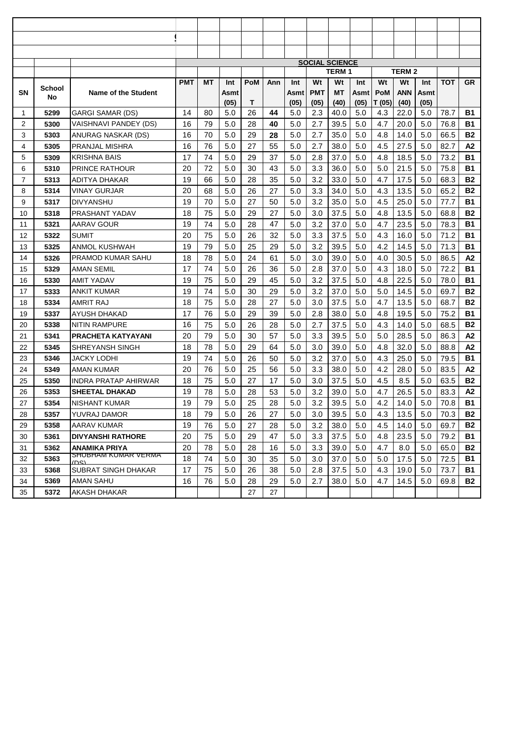|                |        |                                                    |            |    |      |            |     |       | <b>SOCIAL SCIENCE</b> | <b>TERM1</b> |      |        | <b>TERM 2</b> |      |            |           |
|----------------|--------|----------------------------------------------------|------------|----|------|------------|-----|-------|-----------------------|--------------|------|--------|---------------|------|------------|-----------|
|                |        |                                                    | <b>PMT</b> | МT | Int  | <b>PoM</b> | Ann | Int   | Wt                    | Wt           | Int  | Wt     | Wt            | Int  | <b>TOT</b> | <b>GR</b> |
| SN             | School | Name of the Student                                |            |    | Asmt |            |     | Asmtl | <b>PMT</b>            | MT           | Asmt | PoM    | <b>ANN</b>    | Asmt |            |           |
|                | No     |                                                    |            |    | (05) | т          |     | (05)  | (05)                  | (40)         | (05) | T (05) | (40)          | (05) |            |           |
| 1              | 5299   | <b>GARGI SAMAR (DS)</b>                            | 14         | 80 | 5.0  | 26         | 44  | 5.0   | 2.3                   | 40.0         | 5.0  | 4.3    | 22.0          | 5.0  | 78.7       | <b>B1</b> |
| $\overline{2}$ | 5300   | VAISHNAVI PANDEY (DS)                              | 16         | 79 | 5.0  | 28         | 40  | 5.0   | 2.7                   | 39.5         | 5.0  | 4.7    | 20.0          | 5.0  | 76.8       | <b>B1</b> |
| 3              | 5303   | ANURAG NASKAR (DS)                                 | 16         | 70 | 5.0  | 29         | 28  | 5.0   | 2.7                   | 35.0         | 5.0  | 4.8    | 14.0          | 5.0  | 66.5       | <b>B2</b> |
| 4              | 5305   | PRANJAL MISHRA                                     | 16         | 76 | 5.0  | 27         | 55  | 5.0   | 2.7                   | 38.0         | 5.0  | 4.5    | 27.5          | 5.0  | 82.7       | A2        |
| 5              | 5309   | <b>KRISHNA BAIS</b>                                | 17         | 74 | 5.0  | 29         | 37  | 5.0   | 2.8                   | 37.0         | 5.0  | 4.8    | 18.5          | 5.0  | 73.2       | <b>B1</b> |
| 6              | 5310   | <b>PRINCE RATHOUR</b>                              | 20         | 72 | 5.0  | 30         | 43  | 5.0   | 3.3                   | 36.0         | 5.0  | 5.0    | 21.5          | 5.0  | 75.8       | <b>B1</b> |
| 7              | 5313   | ADITYA DHAKAR                                      | 19         | 66 | 5.0  | 28         | 35  | 5.0   | 3.2                   | 33.0         | 5.0  | 4.7    | 17.5          | 5.0  | 68.3       | <b>B2</b> |
| 8              | 5314   | <b>VINAY GURJAR</b>                                | 20         | 68 | 5.0  | 26         | 27  | 5.0   | 3.3                   | 34.0         | 5.0  | 4.3    | 13.5          | 5.0  | 65.2       | <b>B2</b> |
| 9              | 5317   | <b>DIVYANSHU</b>                                   | 19         | 70 | 5.0  | 27         | 50  | 5.0   | 3.2                   | 35.0         | 5.0  | 4.5    | 25.0          | 5.0  | 77.7       | <b>B1</b> |
| 10             | 5318   | PRASHANT YADAV                                     | 18         | 75 | 5.0  | 29         | 27  | 5.0   | 3.0                   | 37.5         | 5.0  | 4.8    | 13.5          | 5.0  | 68.8       | <b>B2</b> |
| 11             | 5321   | AARAV GOUR                                         | 19         | 74 | 5.0  | 28         | 47  | 5.0   | 3.2                   | 37.0         | 5.0  | 4.7    | 23.5          | 5.0  | 78.3       | <b>B1</b> |
| 12             | 5322   | <b>SUMIT</b>                                       | 20         | 75 | 5.0  | 26         | 32  | 5.0   | 3.3                   | 37.5         | 5.0  | 4.3    | 16.0          | 5.0  | 71.2       | <b>B1</b> |
| 13             | 5325   | <b>ANMOL KUSHWAH</b>                               | 19         | 79 | 5.0  | 25         | 29  | 5.0   | 3.2                   | 39.5         | 5.0  | 4.2    | 14.5          | 5.0  | 71.3       | <b>B1</b> |
| 14             | 5326   | PRAMOD KUMAR SAHU                                  | 18         | 78 | 5.0  | 24         | 61  | 5.0   | 3.0                   | 39.0         | 5.0  | 4.0    | 30.5          | 5.0  | 86.5       | A2        |
| 15             | 5329   | AMAN SEMIL                                         | 17         | 74 | 5.0  | 26         | 36  | 5.0   | 2.8                   | 37.0         | 5.0  | 4.3    | 18.0          | 5.0  | 72.2       | <b>B1</b> |
| 16             | 5330   | <b>AMIT YADAV</b>                                  | 19         | 75 | 5.0  | 29         | 45  | 5.0   | 3.2                   | 37.5         | 5.0  | 4.8    | 22.5          | 5.0  | 78.0       | <b>B1</b> |
| 17             | 5333   | <b>ANKIT KUMAR</b>                                 | 19         | 74 | 5.0  | 30         | 29  | 5.0   | 3.2                   | 37.0         | 5.0  | 5.0    | 14.5          | 5.0  | 69.7       | <b>B2</b> |
| 18             | 5334   | <b>AMRIT RAJ</b>                                   | 18         | 75 | 5.0  | 28         | 27  | 5.0   | 3.0                   | 37.5         | 5.0  | 4.7    | 13.5          | 5.0  | 68.7       | <b>B2</b> |
| 19             | 5337   | AYUSH DHAKAD                                       | 17         | 76 | 5.0  | 29         | 39  | 5.0   | 2.8                   | 38.0         | 5.0  | 4.8    | 19.5          | 5.0  | 75.2       | <b>B1</b> |
| 20             | 5338   | <b>NITIN RAMPURE</b>                               | 16         | 75 | 5.0  | 26         | 28  | 5.0   | 2.7                   | 37.5         | 5.0  | 4.3    | 14.0          | 5.0  | 68.5       | <b>B2</b> |
| 21             | 5341   | PRACHETA KATYAYANI                                 | 20         | 79 | 5.0  | 30         | 57  | 5.0   | 3.3                   | 39.5         | 5.0  | 5.0    | 28.5          | 5.0  | 86.3       | A2        |
| 22             | 5345   | SHREYANSH SINGH                                    | 18         | 78 | 5.0  | 29         | 64  | 5.0   | 3.0                   | 39.0         | 5.0  | 4.8    | 32.0          | 5.0  | 88.8       | A2        |
| 23             | 5346   | JACKY LODHI                                        | 19         | 74 | 5.0  | 26         | 50  | 5.0   | 3.2                   | 37.0         | 5.0  | 4.3    | 25.0          | 5.0  | 79.5       | <b>B1</b> |
| 24             | 5349   | <b>AMAN KUMAR</b>                                  | 20         | 76 | 5.0  | 25         | 56  | 5.0   | 3.3                   | 38.0         | 5.0  | 4.2    | 28.0          | 5.0  | 83.5       | A2        |
| 25             | 5350   | <b>INDRA PRATAP AHIRWAR</b>                        | 18         | 75 | 5.0  | 27         | 17  | 5.0   | 3.0                   | 37.5         | 5.0  | 4.5    | 8.5           | 5.0  | 63.5       | <b>B2</b> |
| 26             | 5353   | <b>SHEETAL DHAKAD</b>                              | 19         | 78 | 5.0  | 28         | 53  | 5.0   | 3.2                   | 39.0         | 5.0  | 4.7    | 26.5          | 5.0  | 83.3       | A2        |
| 27             | 5354   | <b>NISHANT KUMAR</b>                               | 19         | 79 | 5.0  | 25         | 28  | 5.0   | 3.2                   | 39.5         | 5.0  | 4.2    | 14.0          | 5.0  | 70.8       | <b>B1</b> |
| 28             | 5357   | YUVRAJ DAMOR                                       | 18         | 79 | 5.0  | 26         | 27  | 5.0   | 3.0                   | 39.5         | 5.0  | 4.3    | 13.5          | 5.0  | 70.3       | <b>B2</b> |
| 29             | 5358   | AARAV KUMAR                                        | 19         | 76 | 5.0  | 27         | 28  | 5.0   | 3.2                   | 38.0         | 5.0  | 4.5    | 14.0          | 5.0  | 69.7       | <b>B2</b> |
| 30             | 5361   | <b>DIVYANSHI RATHORE</b>                           | 20         | 75 | 5.0  | 29         | 47  | 5.0   | 3.3                   | 37.5         | 5.0  | 4.8    | 23.5          | 5.0  | 79.2       | B1        |
| 31             | 5362   | <b>ANAMIKA PRIYA</b><br><b>SHUBHAM KUMAR VERMA</b> | 20         | 78 | 5.0  | 28         | 16  | 5.0   | 3.3                   | 39.0         | 5.0  | 4.7    | 8.0           | 5.0  | 65.0       | <b>B2</b> |
| 32             | 5363   | וחי (                                              | 18         | 74 | 5.0  | 30         | 35  | 5.0   | 3.0                   | 37.0         | 5.0  | 5.0    | 17.5          | 5.0  | 72.5       | <b>B1</b> |
| 33             | 5368   | SUBRAT SINGH DHAKAR                                | 17         | 75 | 5.0  | 26         | 38  | 5.0   | 2.8                   | 37.5         | 5.0  | 4.3    | 19.0          | 5.0  | 73.7       | B1        |
| 34             | 5369   | AMAN SAHU                                          | 16         | 76 | 5.0  | 28         | 29  | 5.0   | 2.7                   | 38.0         | 5.0  | 4.7    | 14.5          | 5.0  | 69.8       | <b>B2</b> |
| 35             | 5372   | AKASH DHAKAR                                       |            |    |      | 27         | 27  |       |                       |              |      |        |               |      |            |           |